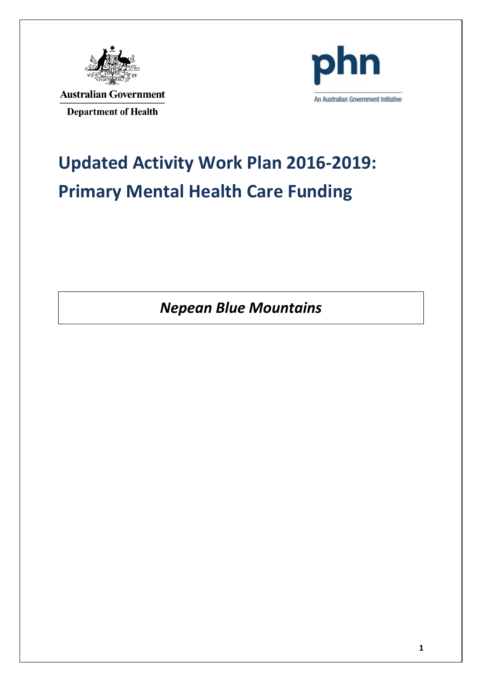

**Australian Government Department of Health** 



# **Updated Activity Work Plan 2016-2019: Primary Mental Health Care Funding**

*Nepean Blue Mountains*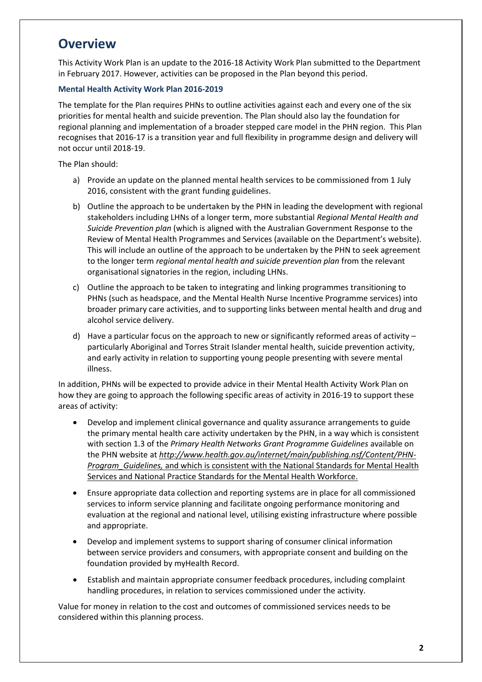# **Overview**

This Activity Work Plan is an update to the 2016-18 Activity Work Plan submitted to the Department in February 2017. However, activities can be proposed in the Plan beyond this period.

### **Mental Health Activity Work Plan 2016-2019**

The template for the Plan requires PHNs to outline activities against each and every one of the six priorities for mental health and suicide prevention. The Plan should also lay the foundation for regional planning and implementation of a broader stepped care model in the PHN region. This Plan recognises that 2016-17 is a transition year and full flexibility in programme design and delivery will not occur until 2018-19.

The Plan should:

- a) Provide an update on the planned mental health services to be commissioned from 1 July 2016, consistent with the grant funding guidelines.
- b) Outline the approach to be undertaken by the PHN in leading the development with regional stakeholders including LHNs of a longer term, more substantial *Regional Mental Health and Suicide Prevention plan* (which is aligned with the Australian Government Response to the Review of Mental Health Programmes and Services (available on the Department's website). This will include an outline of the approach to be undertaken by the PHN to seek agreement to the longer term *regional mental health and suicide prevention plan* from the relevant organisational signatories in the region, including LHNs.
- c) Outline the approach to be taken to integrating and linking programmes transitioning to PHNs (such as headspace, and the Mental Health Nurse Incentive Programme services) into broader primary care activities, and to supporting links between mental health and drug and alcohol service delivery.
- d) Have a particular focus on the approach to new or significantly reformed areas of activity  $$ particularly Aboriginal and Torres Strait Islander mental health, suicide prevention activity, and early activity in relation to supporting young people presenting with severe mental illness.

In addition, PHNs will be expected to provide advice in their Mental Health Activity Work Plan on how they are going to approach the following specific areas of activity in 2016-19 to support these areas of activity:

- Develop and implement clinical governance and quality assurance arrangements to guide the primary mental health care activity undertaken by the PHN, in a way which is consistent with section 1.3 of the *Primary Health Networks Grant Programme Guidelines* available on the PHN website at *[http://www.health.gov.au/internet/main/publishing.nsf/Content/PHN-](http://www.health.gov.au/internet/main/publishing.nsf/Content/PHN-Program_Guidelines)[Program\\_Guidelines,](http://www.health.gov.au/internet/main/publishing.nsf/Content/PHN-Program_Guidelines)* and which is consistent with the National Standards for Mental Health Services and National Practice Standards for the Mental Health Workforce.
- Ensure appropriate data collection and reporting systems are in place for all commissioned services to inform service planning and facilitate ongoing performance monitoring and evaluation at the regional and national level, utilising existing infrastructure where possible and appropriate.
- Develop and implement systems to support sharing of consumer clinical information between service providers and consumers, with appropriate consent and building on the foundation provided by myHealth Record.
- Establish and maintain appropriate consumer feedback procedures, including complaint handling procedures, in relation to services commissioned under the activity.

Value for money in relation to the cost and outcomes of commissioned services needs to be considered within this planning process.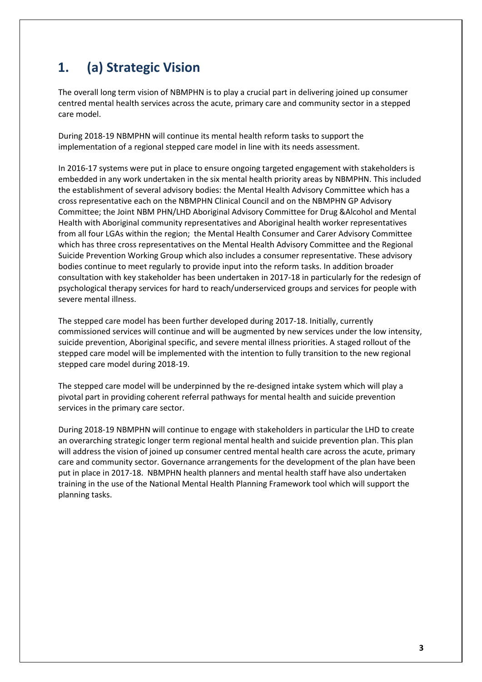# **1. (a) Strategic Vision**

The overall long term vision of NBMPHN is to play a crucial part in delivering joined up consumer centred mental health services across the acute, primary care and community sector in a stepped care model.

During 2018-19 NBMPHN will continue its mental health reform tasks to support the implementation of a regional stepped care model in line with its needs assessment.

In 2016-17 systems were put in place to ensure ongoing targeted engagement with stakeholders is embedded in any work undertaken in the six mental health priority areas by NBMPHN. This included the establishment of several advisory bodies: the Mental Health Advisory Committee which has a cross representative each on the NBMPHN Clinical Council and on the NBMPHN GP Advisory Committee; the Joint NBM PHN/LHD Aboriginal Advisory Committee for Drug &Alcohol and Mental Health with Aboriginal community representatives and Aboriginal health worker representatives from all four LGAs within the region; the Mental Health Consumer and Carer Advisory Committee which has three cross representatives on the Mental Health Advisory Committee and the Regional Suicide Prevention Working Group which also includes a consumer representative. These advisory bodies continue to meet regularly to provide input into the reform tasks. In addition broader consultation with key stakeholder has been undertaken in 2017-18 in particularly for the redesign of psychological therapy services for hard to reach/underserviced groups and services for people with severe mental illness.

The stepped care model has been further developed during 2017-18. Initially, currently commissioned services will continue and will be augmented by new services under the low intensity, suicide prevention, Aboriginal specific, and severe mental illness priorities. A staged rollout of the stepped care model will be implemented with the intention to fully transition to the new regional stepped care model during 2018-19.

The stepped care model will be underpinned by the re-designed intake system which will play a pivotal part in providing coherent referral pathways for mental health and suicide prevention services in the primary care sector.

During 2018-19 NBMPHN will continue to engage with stakeholders in particular the LHD to create an overarching strategic longer term regional mental health and suicide prevention plan. This plan will address the vision of joined up consumer centred mental health care across the acute, primary care and community sector. Governance arrangements for the development of the plan have been put in place in 2017-18. NBMPHN health planners and mental health staff have also undertaken training in the use of the National Mental Health Planning Framework tool which will support the planning tasks.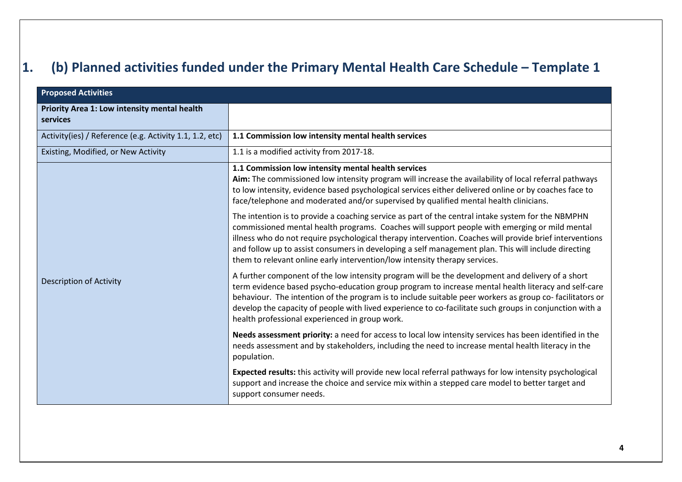# **1. (b) Planned activities funded under the Primary Mental Health Care Schedule – Template 1**

| <b>Proposed Activities</b>                               |                                                                                                                                                                                                                                                                                                                                                                                                                                                                                                     |
|----------------------------------------------------------|-----------------------------------------------------------------------------------------------------------------------------------------------------------------------------------------------------------------------------------------------------------------------------------------------------------------------------------------------------------------------------------------------------------------------------------------------------------------------------------------------------|
| Priority Area 1: Low intensity mental health<br>services |                                                                                                                                                                                                                                                                                                                                                                                                                                                                                                     |
| Activity(ies) / Reference (e.g. Activity 1.1, 1.2, etc)  | 1.1 Commission low intensity mental health services                                                                                                                                                                                                                                                                                                                                                                                                                                                 |
| Existing, Modified, or New Activity                      | 1.1 is a modified activity from 2017-18.                                                                                                                                                                                                                                                                                                                                                                                                                                                            |
| <b>Description of Activity</b>                           | 1.1 Commission low intensity mental health services<br>Aim: The commissioned low intensity program will increase the availability of local referral pathways<br>to low intensity, evidence based psychological services either delivered online or by coaches face to<br>face/telephone and moderated and/or supervised by qualified mental health clinicians.                                                                                                                                      |
|                                                          | The intention is to provide a coaching service as part of the central intake system for the NBMPHN<br>commissioned mental health programs. Coaches will support people with emerging or mild mental<br>illness who do not require psychological therapy intervention. Coaches will provide brief interventions<br>and follow up to assist consumers in developing a self management plan. This will include directing<br>them to relevant online early intervention/low intensity therapy services. |
|                                                          | A further component of the low intensity program will be the development and delivery of a short<br>term evidence based psycho-education group program to increase mental health literacy and self-care<br>behaviour. The intention of the program is to include suitable peer workers as group co-facilitators or<br>develop the capacity of people with lived experience to co-facilitate such groups in conjunction with a<br>health professional experienced in group work.                     |
|                                                          | Needs assessment priority: a need for access to local low intensity services has been identified in the<br>needs assessment and by stakeholders, including the need to increase mental health literacy in the<br>population.                                                                                                                                                                                                                                                                        |
|                                                          | Expected results: this activity will provide new local referral pathways for low intensity psychological<br>support and increase the choice and service mix within a stepped care model to better target and<br>support consumer needs.                                                                                                                                                                                                                                                             |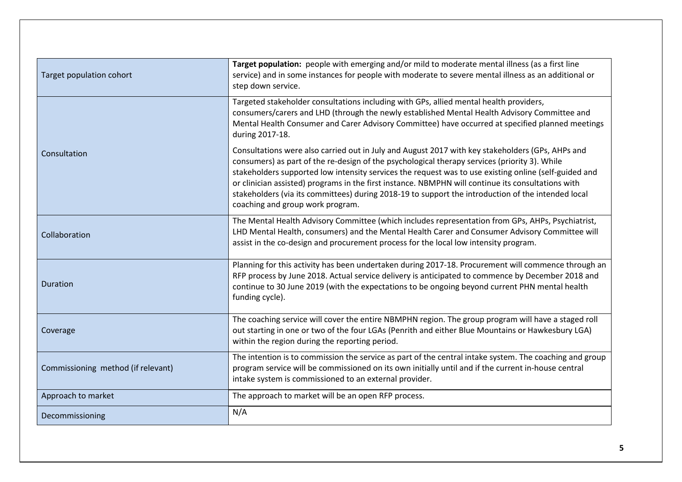| Target population cohort           | Target population: people with emerging and/or mild to moderate mental illness (as a first line<br>service) and in some instances for people with moderate to severe mental illness as an additional or<br>step down service.                                                                                                                                                                                                                                                                                                                              |
|------------------------------------|------------------------------------------------------------------------------------------------------------------------------------------------------------------------------------------------------------------------------------------------------------------------------------------------------------------------------------------------------------------------------------------------------------------------------------------------------------------------------------------------------------------------------------------------------------|
|                                    | Targeted stakeholder consultations including with GPs, allied mental health providers,<br>consumers/carers and LHD (through the newly established Mental Health Advisory Committee and<br>Mental Health Consumer and Carer Advisory Committee) have occurred at specified planned meetings<br>during 2017-18.                                                                                                                                                                                                                                              |
| Consultation                       | Consultations were also carried out in July and August 2017 with key stakeholders (GPs, AHPs and<br>consumers) as part of the re-design of the psychological therapy services (priority 3). While<br>stakeholders supported low intensity services the request was to use existing online (self-guided and<br>or clinician assisted) programs in the first instance. NBMPHN will continue its consultations with<br>stakeholders (via its committees) during 2018-19 to support the introduction of the intended local<br>coaching and group work program. |
| Collaboration                      | The Mental Health Advisory Committee (which includes representation from GPs, AHPs, Psychiatrist,<br>LHD Mental Health, consumers) and the Mental Health Carer and Consumer Advisory Committee will<br>assist in the co-design and procurement process for the local low intensity program.                                                                                                                                                                                                                                                                |
| Duration                           | Planning for this activity has been undertaken during 2017-18. Procurement will commence through an<br>RFP process by June 2018. Actual service delivery is anticipated to commence by December 2018 and<br>continue to 30 June 2019 (with the expectations to be ongoing beyond current PHN mental health<br>funding cycle).                                                                                                                                                                                                                              |
| Coverage                           | The coaching service will cover the entire NBMPHN region. The group program will have a staged roll<br>out starting in one or two of the four LGAs (Penrith and either Blue Mountains or Hawkesbury LGA)<br>within the region during the reporting period.                                                                                                                                                                                                                                                                                                 |
| Commissioning method (if relevant) | The intention is to commission the service as part of the central intake system. The coaching and group<br>program service will be commissioned on its own initially until and if the current in-house central<br>intake system is commissioned to an external provider.                                                                                                                                                                                                                                                                                   |
| Approach to market                 | The approach to market will be an open RFP process.                                                                                                                                                                                                                                                                                                                                                                                                                                                                                                        |
| Decommissioning                    | N/A                                                                                                                                                                                                                                                                                                                                                                                                                                                                                                                                                        |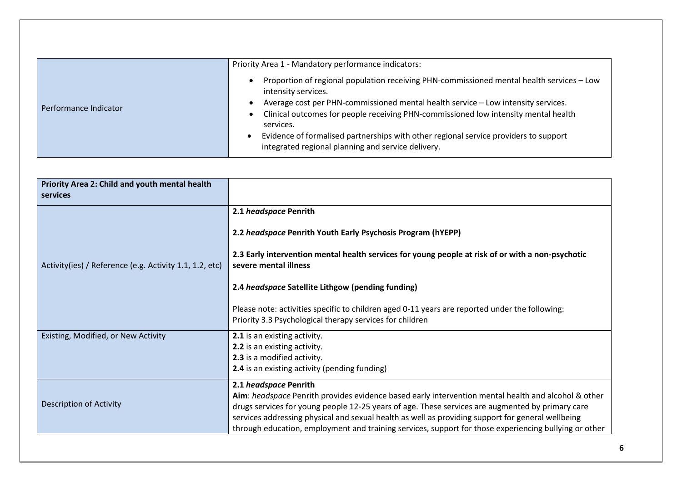|                       | Priority Area 1 - Mandatory performance indicators:                                                                                                                                                                                                                                                                                                                                                                                                                  |
|-----------------------|----------------------------------------------------------------------------------------------------------------------------------------------------------------------------------------------------------------------------------------------------------------------------------------------------------------------------------------------------------------------------------------------------------------------------------------------------------------------|
| Performance Indicator | Proportion of regional population receiving PHN-commissioned mental health services - Low<br>intensity services.<br>Average cost per PHN-commissioned mental health service - Low intensity services.<br>Clinical outcomes for people receiving PHN-commissioned low intensity mental health<br>services.<br>Evidence of formalised partnerships with other regional service providers to support<br>$\bullet$<br>integrated regional planning and service delivery. |

| Priority Area 2: Child and youth mental health<br>services |                                                                                                                                                                                                                                                                                                                |
|------------------------------------------------------------|----------------------------------------------------------------------------------------------------------------------------------------------------------------------------------------------------------------------------------------------------------------------------------------------------------------|
|                                                            | 2.1 headspace Penrith                                                                                                                                                                                                                                                                                          |
|                                                            | 2.2 headspace Penrith Youth Early Psychosis Program (hYEPP)                                                                                                                                                                                                                                                    |
| Activity(ies) / Reference (e.g. Activity 1.1, 1.2, etc)    | 2.3 Early intervention mental health services for young people at risk of or with a non-psychotic<br>severe mental illness                                                                                                                                                                                     |
|                                                            | 2.4 headspace Satellite Lithgow (pending funding)                                                                                                                                                                                                                                                              |
|                                                            | Please note: activities specific to children aged 0-11 years are reported under the following:<br>Priority 3.3 Psychological therapy services for children                                                                                                                                                     |
| Existing, Modified, or New Activity                        | 2.1 is an existing activity.<br>2.2 is an existing activity.                                                                                                                                                                                                                                                   |
|                                                            | 2.3 is a modified activity.<br>2.4 is an existing activity (pending funding)                                                                                                                                                                                                                                   |
| <b>Description of Activity</b>                             | 2.1 headspace Penrith<br>Aim: headspace Penrith provides evidence based early intervention mental health and alcohol & other                                                                                                                                                                                   |
|                                                            | drugs services for young people 12-25 years of age. These services are augmented by primary care<br>services addressing physical and sexual health as well as providing support for general wellbeing<br>through education, employment and training services, support for those experiencing bullying or other |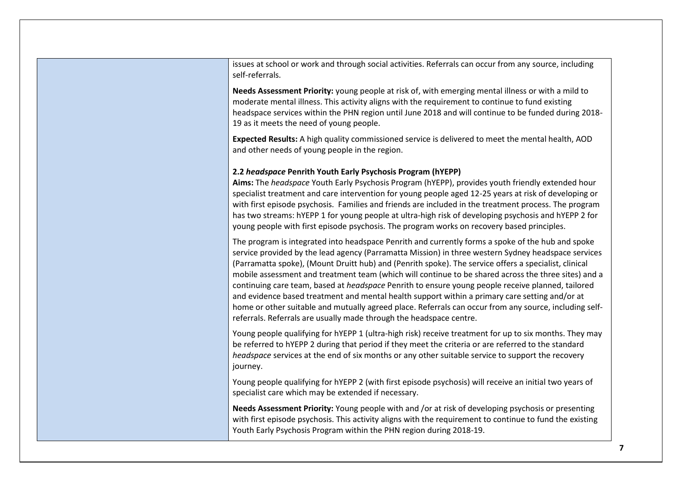issues at school or work and through social activities. Referrals can occur from any source, including self-referrals.

**Needs Assessment Priority:** young people at risk of, with emerging mental illness or with a mild to moderate mental illness. This activity aligns with the requirement to continue to fund existing headspace services within the PHN region until June 2018 and will continue to be funded during 2018- 19 as it meets the need of young people.

**Expected Results:** A high quality commissioned service is delivered to meet the mental health, AOD and other needs of young people in the region.

### **2.2** *headspace* **Penrith Youth Early Psychosis Program (hYEPP)**

**Aims:** The *headspace* Youth Early Psychosis Program (hYEPP), provides youth friendly extended hour specialist treatment and care intervention for young people aged 12-25 years at risk of developing or with first episode psychosis. Families and friends are included in the treatment process. The program has two streams: hYEPP 1 for young people at ultra-high risk of developing psychosis and hYEPP 2 for young people with first episode psychosis. The program works on recovery based principles.

The program is integrated into headspace Penrith and currently forms a spoke of the hub and spoke service provided by the lead agency (Parramatta Mission) in three western Sydney headspace services (Parramatta spoke), (Mount Druitt hub) and (Penrith spoke). The service offers a specialist, clinical mobile assessment and treatment team (which will continue to be shared across the three sites) and a continuing care team, based at *headspace* Penrith to ensure young people receive planned, tailored and evidence based treatment and mental health support within a primary care setting and/or at home or other suitable and mutually agreed place. Referrals can occur from any source, including selfreferrals. Referrals are usually made through the headspace centre.

Young people qualifying for hYEPP 1 (ultra-high risk) receive treatment for up to six months. They may be referred to hYEPP 2 during that period if they meet the criteria or are referred to the standard *headspace* services at the end of six months or any other suitable service to support the recovery journey.

Young people qualifying for hYEPP 2 (with first episode psychosis) will receive an initial two years of specialist care which may be extended if necessary.

**Needs Assessment Priority:** Young people with and /or at risk of developing psychosis or presenting with first episode psychosis. This activity aligns with the requirement to continue to fund the existing Youth Early Psychosis Program within the PHN region during 2018-19.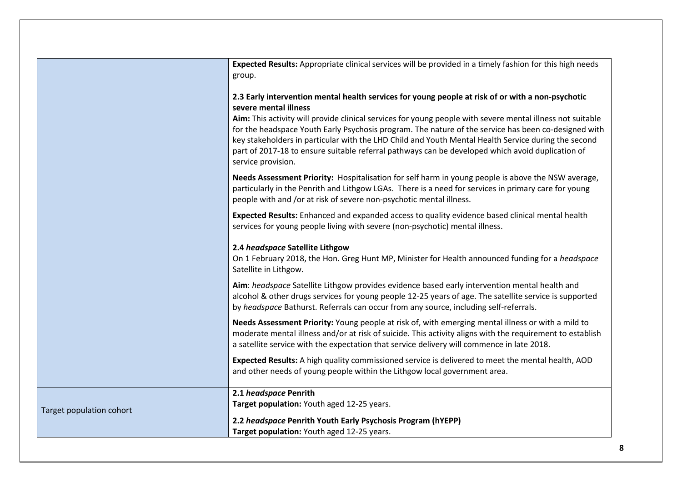|                          | Expected Results: Appropriate clinical services will be provided in a timely fashion for this high needs<br>group.                                                                                                                                                                                                                                                                                                                                                                                                                                                                |
|--------------------------|-----------------------------------------------------------------------------------------------------------------------------------------------------------------------------------------------------------------------------------------------------------------------------------------------------------------------------------------------------------------------------------------------------------------------------------------------------------------------------------------------------------------------------------------------------------------------------------|
|                          | 2.3 Early intervention mental health services for young people at risk of or with a non-psychotic<br>severe mental illness<br>Aim: This activity will provide clinical services for young people with severe mental illness not suitable<br>for the headspace Youth Early Psychosis program. The nature of the service has been co-designed with<br>key stakeholders in particular with the LHD Child and Youth Mental Health Service during the second<br>part of 2017-18 to ensure suitable referral pathways can be developed which avoid duplication of<br>service provision. |
|                          | Needs Assessment Priority: Hospitalisation for self harm in young people is above the NSW average,<br>particularly in the Penrith and Lithgow LGAs. There is a need for services in primary care for young<br>people with and /or at risk of severe non-psychotic mental illness.                                                                                                                                                                                                                                                                                                 |
|                          | Expected Results: Enhanced and expanded access to quality evidence based clinical mental health<br>services for young people living with severe (non-psychotic) mental illness.                                                                                                                                                                                                                                                                                                                                                                                                   |
|                          | 2.4 headspace Satellite Lithgow<br>On 1 February 2018, the Hon. Greg Hunt MP, Minister for Health announced funding for a headspace<br>Satellite in Lithgow.                                                                                                                                                                                                                                                                                                                                                                                                                      |
|                          | Aim: headspace Satellite Lithgow provides evidence based early intervention mental health and<br>alcohol & other drugs services for young people 12-25 years of age. The satellite service is supported<br>by headspace Bathurst. Referrals can occur from any source, including self-referrals.                                                                                                                                                                                                                                                                                  |
|                          | Needs Assessment Priority: Young people at risk of, with emerging mental illness or with a mild to<br>moderate mental illness and/or at risk of suicide. This activity aligns with the requirement to establish<br>a satellite service with the expectation that service delivery will commence in late 2018.                                                                                                                                                                                                                                                                     |
|                          | Expected Results: A high quality commissioned service is delivered to meet the mental health, AOD<br>and other needs of young people within the Lithgow local government area.                                                                                                                                                                                                                                                                                                                                                                                                    |
|                          | 2.1 headspace Penrith                                                                                                                                                                                                                                                                                                                                                                                                                                                                                                                                                             |
| Target population cohort | Target population: Youth aged 12-25 years.                                                                                                                                                                                                                                                                                                                                                                                                                                                                                                                                        |
|                          | 2.2 headspace Penrith Youth Early Psychosis Program (hYEPP)<br>Target population: Youth aged 12-25 years.                                                                                                                                                                                                                                                                                                                                                                                                                                                                         |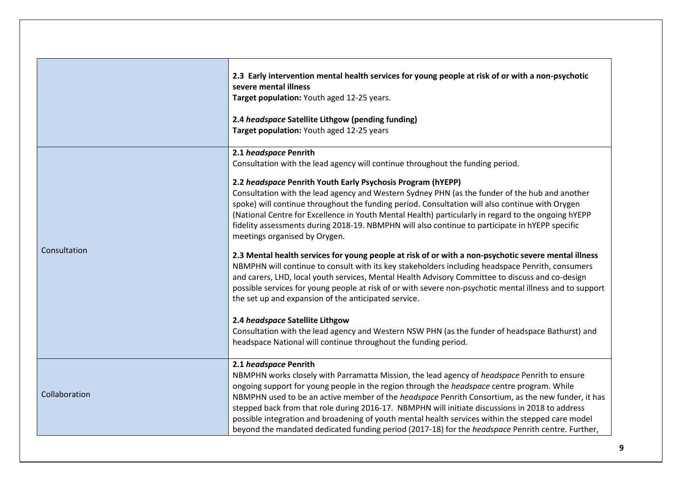|               | 2.3 Early intervention mental health services for young people at risk of or with a non-psychotic                                                                                                                                                                                                                                                                                                                                                                                |
|---------------|----------------------------------------------------------------------------------------------------------------------------------------------------------------------------------------------------------------------------------------------------------------------------------------------------------------------------------------------------------------------------------------------------------------------------------------------------------------------------------|
|               | severe mental illness<br>Target population: Youth aged 12-25 years.                                                                                                                                                                                                                                                                                                                                                                                                              |
|               |                                                                                                                                                                                                                                                                                                                                                                                                                                                                                  |
|               | 2.4 headspace Satellite Lithgow (pending funding)                                                                                                                                                                                                                                                                                                                                                                                                                                |
|               | Target population: Youth aged 12-25 years                                                                                                                                                                                                                                                                                                                                                                                                                                        |
|               | 2.1 headspace Penrith                                                                                                                                                                                                                                                                                                                                                                                                                                                            |
|               | Consultation with the lead agency will continue throughout the funding period.                                                                                                                                                                                                                                                                                                                                                                                                   |
|               | 2.2 headspace Penrith Youth Early Psychosis Program (hYEPP)                                                                                                                                                                                                                                                                                                                                                                                                                      |
| Consultation  | Consultation with the lead agency and Western Sydney PHN (as the funder of the hub and another<br>spoke) will continue throughout the funding period. Consultation will also continue with Orygen<br>(National Centre for Excellence in Youth Mental Health) particularly in regard to the ongoing hYEPP<br>fidelity assessments during 2018-19. NBMPHN will also continue to participate in hYEPP specific<br>meetings organised by Orygen.                                     |
|               | 2.3 Mental health services for young people at risk of or with a non-psychotic severe mental illness<br>NBMPHN will continue to consult with its key stakeholders including headspace Penrith, consumers<br>and carers, LHD, local youth services, Mental Health Advisory Committee to discuss and co-design<br>possible services for young people at risk of or with severe non-psychotic mental illness and to support<br>the set up and expansion of the anticipated service. |
|               | 2.4 headspace Satellite Lithgow                                                                                                                                                                                                                                                                                                                                                                                                                                                  |
|               | Consultation with the lead agency and Western NSW PHN (as the funder of headspace Bathurst) and<br>headspace National will continue throughout the funding period.                                                                                                                                                                                                                                                                                                               |
|               | 2.1 headspace Penrith                                                                                                                                                                                                                                                                                                                                                                                                                                                            |
| Collaboration | NBMPHN works closely with Parramatta Mission, the lead agency of headspace Penrith to ensure                                                                                                                                                                                                                                                                                                                                                                                     |
|               | ongoing support for young people in the region through the headspace centre program. While<br>NBMPHN used to be an active member of the headspace Penrith Consortium, as the new funder, it has                                                                                                                                                                                                                                                                                  |
|               | stepped back from that role during 2016-17. NBMPHN will initiate discussions in 2018 to address                                                                                                                                                                                                                                                                                                                                                                                  |
|               | possible integration and broadening of youth mental health services within the stepped care model                                                                                                                                                                                                                                                                                                                                                                                |
|               | beyond the mandated dedicated funding period (2017-18) for the headspace Penrith centre. Further,                                                                                                                                                                                                                                                                                                                                                                                |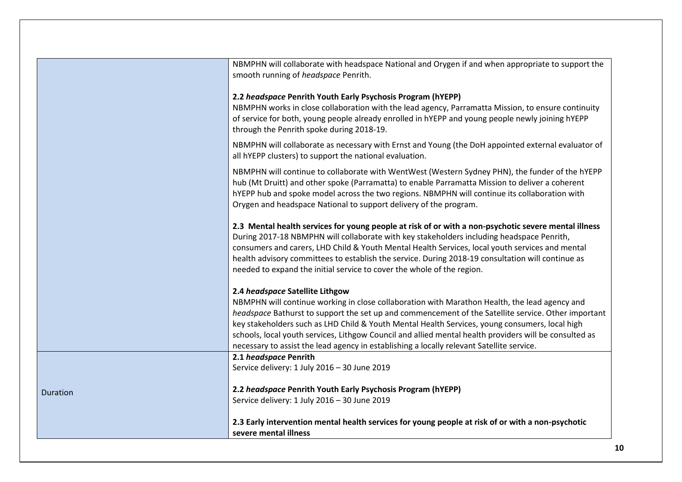| Duration | 2.2 headspace Penrith Youth Early Psychosis Program (hYEPP)<br>Service delivery: 1 July 2016 - 30 June 2019                                                                                           |
|----------|-------------------------------------------------------------------------------------------------------------------------------------------------------------------------------------------------------|
|          | Service delivery: 1 July 2016 - 30 June 2019                                                                                                                                                          |
|          | necessary to assist the lead agency in establishing a locally relevant Satellite service.<br>2.1 headspace Penrith                                                                                    |
|          | schools, local youth services, Lithgow Council and allied mental health providers will be consulted as                                                                                                |
|          | headspace Bathurst to support the set up and commencement of the Satellite service. Other important<br>key stakeholders such as LHD Child & Youth Mental Health Services, young consumers, local high |
|          | 2.4 headspace Satellite Lithgow<br>NBMPHN will continue working in close collaboration with Marathon Health, the lead agency and                                                                      |
|          | needed to expand the initial service to cover the whole of the region.                                                                                                                                |
|          | consumers and carers, LHD Child & Youth Mental Health Services, local youth services and mental<br>health advisory committees to establish the service. During 2018-19 consultation will continue as  |
|          | 2.3 Mental health services for young people at risk of or with a non-psychotic severe mental illness<br>During 2017-18 NBMPHN will collaborate with key stakeholders including headspace Penrith,     |
|          | Orygen and headspace National to support delivery of the program.                                                                                                                                     |
|          | hub (Mt Druitt) and other spoke (Parramatta) to enable Parramatta Mission to deliver a coherent<br>hYEPP hub and spoke model across the two regions. NBMPHN will continue its collaboration with      |
|          | NBMPHN will continue to collaborate with WentWest (Western Sydney PHN), the funder of the hYEPP                                                                                                       |
|          | NBMPHN will collaborate as necessary with Ernst and Young (the DoH appointed external evaluator of<br>all hYEPP clusters) to support the national evaluation.                                         |
|          | of service for both, young people already enrolled in hYEPP and young people newly joining hYEPP<br>through the Penrith spoke during 2018-19.                                                         |
|          | 2.2 headspace Penrith Youth Early Psychosis Program (hYEPP)<br>NBMPHN works in close collaboration with the lead agency, Parramatta Mission, to ensure continuity                                     |
|          | smooth running of headspace Penrith.                                                                                                                                                                  |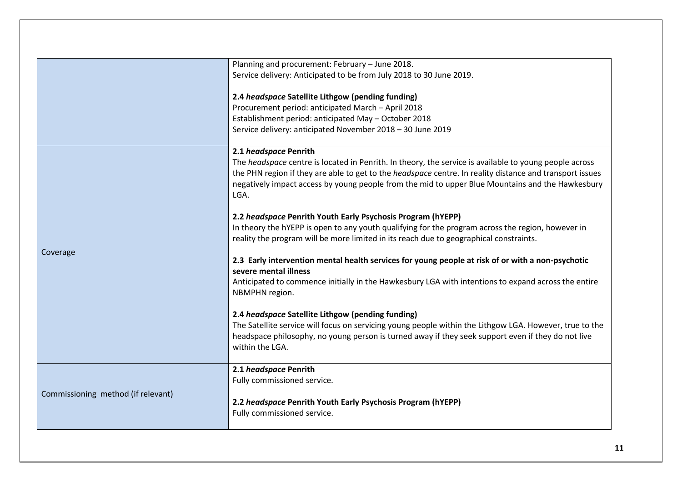|                                    | Planning and procurement: February - June 2018.                                                                                                                                                                                                                                                                                       |
|------------------------------------|---------------------------------------------------------------------------------------------------------------------------------------------------------------------------------------------------------------------------------------------------------------------------------------------------------------------------------------|
|                                    | Service delivery: Anticipated to be from July 2018 to 30 June 2019.                                                                                                                                                                                                                                                                   |
|                                    | 2.4 headspace Satellite Lithgow (pending funding)                                                                                                                                                                                                                                                                                     |
|                                    | Procurement period: anticipated March - April 2018                                                                                                                                                                                                                                                                                    |
|                                    | Establishment period: anticipated May - October 2018                                                                                                                                                                                                                                                                                  |
|                                    | Service delivery: anticipated November 2018 - 30 June 2019                                                                                                                                                                                                                                                                            |
|                                    | 2.1 headspace Penrith                                                                                                                                                                                                                                                                                                                 |
|                                    | The headspace centre is located in Penrith. In theory, the service is available to young people across<br>the PHN region if they are able to get to the <i>headspace</i> centre. In reality distance and transport issues<br>negatively impact access by young people from the mid to upper Blue Mountains and the Hawkesbury<br>LGA. |
|                                    | 2.2 headspace Penrith Youth Early Psychosis Program (hYEPP)                                                                                                                                                                                                                                                                           |
| Coverage                           | In theory the hYEPP is open to any youth qualifying for the program across the region, however in<br>reality the program will be more limited in its reach due to geographical constraints.                                                                                                                                           |
|                                    | 2.3 Early intervention mental health services for young people at risk of or with a non-psychotic<br>severe mental illness                                                                                                                                                                                                            |
|                                    | Anticipated to commence initially in the Hawkesbury LGA with intentions to expand across the entire<br>NBMPHN region.                                                                                                                                                                                                                 |
|                                    | 2.4 headspace Satellite Lithgow (pending funding)                                                                                                                                                                                                                                                                                     |
|                                    | The Satellite service will focus on servicing young people within the Lithgow LGA. However, true to the<br>headspace philosophy, no young person is turned away if they seek support even if they do not live<br>within the LGA.                                                                                                      |
| Commissioning method (if relevant) | 2.1 headspace Penrith                                                                                                                                                                                                                                                                                                                 |
|                                    | Fully commissioned service.                                                                                                                                                                                                                                                                                                           |
|                                    | 2.2 headspace Penrith Youth Early Psychosis Program (hYEPP)<br>Fully commissioned service.                                                                                                                                                                                                                                            |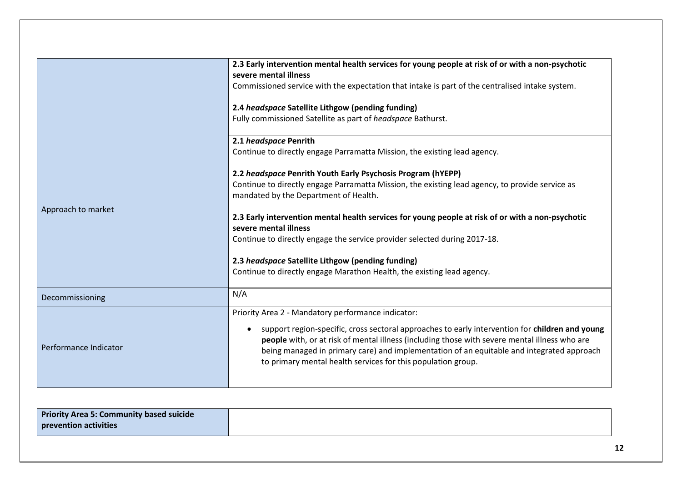|                       | 2.3 Early intervention mental health services for young people at risk of or with a non-psychotic<br>severe mental illness                                                                                                                                                                                                                                                 |
|-----------------------|----------------------------------------------------------------------------------------------------------------------------------------------------------------------------------------------------------------------------------------------------------------------------------------------------------------------------------------------------------------------------|
|                       | Commissioned service with the expectation that intake is part of the centralised intake system.                                                                                                                                                                                                                                                                            |
|                       | 2.4 headspace Satellite Lithgow (pending funding)                                                                                                                                                                                                                                                                                                                          |
|                       | Fully commissioned Satellite as part of headspace Bathurst.                                                                                                                                                                                                                                                                                                                |
|                       | 2.1 headspace Penrith                                                                                                                                                                                                                                                                                                                                                      |
|                       | Continue to directly engage Parramatta Mission, the existing lead agency.                                                                                                                                                                                                                                                                                                  |
|                       | 2.2 headspace Penrith Youth Early Psychosis Program (hYEPP)                                                                                                                                                                                                                                                                                                                |
| Approach to market    | Continue to directly engage Parramatta Mission, the existing lead agency, to provide service as<br>mandated by the Department of Health.                                                                                                                                                                                                                                   |
|                       | 2.3 Early intervention mental health services for young people at risk of or with a non-psychotic<br>severe mental illness                                                                                                                                                                                                                                                 |
|                       | Continue to directly engage the service provider selected during 2017-18.                                                                                                                                                                                                                                                                                                  |
|                       | 2.3 headspace Satellite Lithgow (pending funding)                                                                                                                                                                                                                                                                                                                          |
|                       | Continue to directly engage Marathon Health, the existing lead agency.                                                                                                                                                                                                                                                                                                     |
| Decommissioning       | N/A                                                                                                                                                                                                                                                                                                                                                                        |
| Performance Indicator | Priority Area 2 - Mandatory performance indicator:                                                                                                                                                                                                                                                                                                                         |
|                       | support region-specific, cross sectoral approaches to early intervention for children and young<br>$\bullet$<br>people with, or at risk of mental illness (including those with severe mental illness who are<br>being managed in primary care) and implementation of an equitable and integrated approach<br>to primary mental health services for this population group. |
|                       |                                                                                                                                                                                                                                                                                                                                                                            |

| <b>Priority Area 5: Community based suicide</b> |  |
|-------------------------------------------------|--|
| prevention activities                           |  |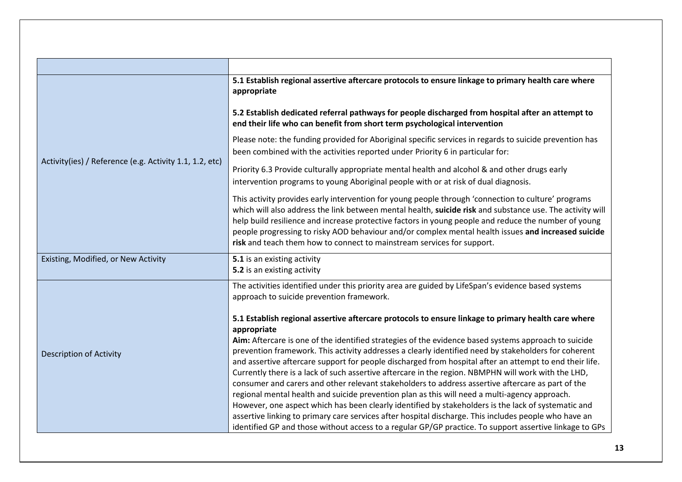|                                                         | 5.1 Establish regional assertive aftercare protocols to ensure linkage to primary health care where<br>appropriate                                                                                                                                                                                                                                                                                                                                                                                                                                                                                                                                                                                                                                                                                                                                                                                                                                                                                                                                                                    |
|---------------------------------------------------------|---------------------------------------------------------------------------------------------------------------------------------------------------------------------------------------------------------------------------------------------------------------------------------------------------------------------------------------------------------------------------------------------------------------------------------------------------------------------------------------------------------------------------------------------------------------------------------------------------------------------------------------------------------------------------------------------------------------------------------------------------------------------------------------------------------------------------------------------------------------------------------------------------------------------------------------------------------------------------------------------------------------------------------------------------------------------------------------|
|                                                         | 5.2 Establish dedicated referral pathways for people discharged from hospital after an attempt to<br>end their life who can benefit from short term psychological intervention                                                                                                                                                                                                                                                                                                                                                                                                                                                                                                                                                                                                                                                                                                                                                                                                                                                                                                        |
|                                                         | Please note: the funding provided for Aboriginal specific services in regards to suicide prevention has<br>been combined with the activities reported under Priority 6 in particular for:                                                                                                                                                                                                                                                                                                                                                                                                                                                                                                                                                                                                                                                                                                                                                                                                                                                                                             |
| Activity(ies) / Reference (e.g. Activity 1.1, 1.2, etc) | Priority 6.3 Provide culturally appropriate mental health and alcohol & and other drugs early<br>intervention programs to young Aboriginal people with or at risk of dual diagnosis.                                                                                                                                                                                                                                                                                                                                                                                                                                                                                                                                                                                                                                                                                                                                                                                                                                                                                                  |
|                                                         | This activity provides early intervention for young people through 'connection to culture' programs<br>which will also address the link between mental health, suicide risk and substance use. The activity will<br>help build resilience and increase protective factors in young people and reduce the number of young<br>people progressing to risky AOD behaviour and/or complex mental health issues and increased suicide<br>risk and teach them how to connect to mainstream services for support.                                                                                                                                                                                                                                                                                                                                                                                                                                                                                                                                                                             |
| Existing, Modified, or New Activity                     | 5.1 is an existing activity<br>5.2 is an existing activity                                                                                                                                                                                                                                                                                                                                                                                                                                                                                                                                                                                                                                                                                                                                                                                                                                                                                                                                                                                                                            |
|                                                         | The activities identified under this priority area are guided by LifeSpan's evidence based systems<br>approach to suicide prevention framework.                                                                                                                                                                                                                                                                                                                                                                                                                                                                                                                                                                                                                                                                                                                                                                                                                                                                                                                                       |
| <b>Description of Activity</b>                          | 5.1 Establish regional assertive aftercare protocols to ensure linkage to primary health care where<br>appropriate<br>Aim: Aftercare is one of the identified strategies of the evidence based systems approach to suicide<br>prevention framework. This activity addresses a clearly identified need by stakeholders for coherent<br>and assertive aftercare support for people discharged from hospital after an attempt to end their life.<br>Currently there is a lack of such assertive aftercare in the region. NBMPHN will work with the LHD,<br>consumer and carers and other relevant stakeholders to address assertive aftercare as part of the<br>regional mental health and suicide prevention plan as this will need a multi-agency approach.<br>However, one aspect which has been clearly identified by stakeholders is the lack of systematic and<br>assertive linking to primary care services after hospital discharge. This includes people who have an<br>identified GP and those without access to a regular GP/GP practice. To support assertive linkage to GPs |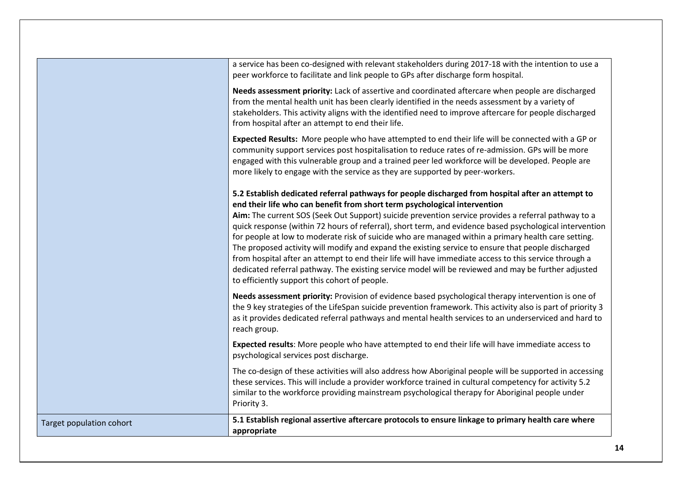| Target population cohort | 5.1 Establish regional assertive aftercare protocols to ensure linkage to primary health care where<br>appropriate                                                                                                                                                                                                                                                                                                                                                                                                                                                                                                                                                                                                                                                                                                                                                             |
|--------------------------|--------------------------------------------------------------------------------------------------------------------------------------------------------------------------------------------------------------------------------------------------------------------------------------------------------------------------------------------------------------------------------------------------------------------------------------------------------------------------------------------------------------------------------------------------------------------------------------------------------------------------------------------------------------------------------------------------------------------------------------------------------------------------------------------------------------------------------------------------------------------------------|
|                          | The co-design of these activities will also address how Aboriginal people will be supported in accessing<br>these services. This will include a provider workforce trained in cultural competency for activity 5.2<br>similar to the workforce providing mainstream psychological therapy for Aboriginal people under<br>Priority 3.                                                                                                                                                                                                                                                                                                                                                                                                                                                                                                                                           |
|                          | Expected results: More people who have attempted to end their life will have immediate access to<br>psychological services post discharge.                                                                                                                                                                                                                                                                                                                                                                                                                                                                                                                                                                                                                                                                                                                                     |
|                          | Needs assessment priority: Provision of evidence based psychological therapy intervention is one of<br>the 9 key strategies of the LifeSpan suicide prevention framework. This activity also is part of priority 3<br>as it provides dedicated referral pathways and mental health services to an underserviced and hard to<br>reach group.                                                                                                                                                                                                                                                                                                                                                                                                                                                                                                                                    |
|                          | 5.2 Establish dedicated referral pathways for people discharged from hospital after an attempt to<br>end their life who can benefit from short term psychological intervention<br>Aim: The current SOS (Seek Out Support) suicide prevention service provides a referral pathway to a<br>quick response (within 72 hours of referral), short term, and evidence based psychological intervention<br>for people at low to moderate risk of suicide who are managed within a primary health care setting.<br>The proposed activity will modify and expand the existing service to ensure that people discharged<br>from hospital after an attempt to end their life will have immediate access to this service through a<br>dedicated referral pathway. The existing service model will be reviewed and may be further adjusted<br>to efficiently support this cohort of people. |
|                          | Expected Results: More people who have attempted to end their life will be connected with a GP or<br>community support services post hospitalisation to reduce rates of re-admission. GPs will be more<br>engaged with this vulnerable group and a trained peer led workforce will be developed. People are<br>more likely to engage with the service as they are supported by peer-workers.                                                                                                                                                                                                                                                                                                                                                                                                                                                                                   |
|                          | Needs assessment priority: Lack of assertive and coordinated aftercare when people are discharged<br>from the mental health unit has been clearly identified in the needs assessment by a variety of<br>stakeholders. This activity aligns with the identified need to improve aftercare for people discharged<br>from hospital after an attempt to end their life.                                                                                                                                                                                                                                                                                                                                                                                                                                                                                                            |
|                          | a service has been co-designed with relevant stakeholders during 2017-18 with the intention to use a<br>peer workforce to facilitate and link people to GPs after discharge form hospital.                                                                                                                                                                                                                                                                                                                                                                                                                                                                                                                                                                                                                                                                                     |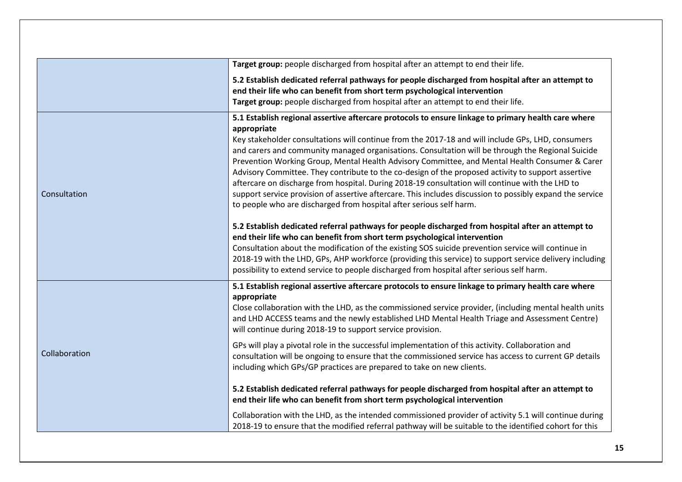|               | Target group: people discharged from hospital after an attempt to end their life.                                                                                                                                                                                                                                                                                                                                                                                                                                                                                                                                                                                                                                                                                                                                                                                                                                                                                                                                                                                                                                                                                                                                                                                                                                            |
|---------------|------------------------------------------------------------------------------------------------------------------------------------------------------------------------------------------------------------------------------------------------------------------------------------------------------------------------------------------------------------------------------------------------------------------------------------------------------------------------------------------------------------------------------------------------------------------------------------------------------------------------------------------------------------------------------------------------------------------------------------------------------------------------------------------------------------------------------------------------------------------------------------------------------------------------------------------------------------------------------------------------------------------------------------------------------------------------------------------------------------------------------------------------------------------------------------------------------------------------------------------------------------------------------------------------------------------------------|
|               | 5.2 Establish dedicated referral pathways for people discharged from hospital after an attempt to<br>end their life who can benefit from short term psychological intervention<br>Target group: people discharged from hospital after an attempt to end their life.                                                                                                                                                                                                                                                                                                                                                                                                                                                                                                                                                                                                                                                                                                                                                                                                                                                                                                                                                                                                                                                          |
| Consultation  | 5.1 Establish regional assertive aftercare protocols to ensure linkage to primary health care where<br>appropriate<br>Key stakeholder consultations will continue from the 2017-18 and will include GPs, LHD, consumers<br>and carers and community managed organisations. Consultation will be through the Regional Suicide<br>Prevention Working Group, Mental Health Advisory Committee, and Mental Health Consumer & Carer<br>Advisory Committee. They contribute to the co-design of the proposed activity to support assertive<br>aftercare on discharge from hospital. During 2018-19 consultation will continue with the LHD to<br>support service provision of assertive aftercare. This includes discussion to possibly expand the service<br>to people who are discharged from hospital after serious self harm.<br>5.2 Establish dedicated referral pathways for people discharged from hospital after an attempt to<br>end their life who can benefit from short term psychological intervention<br>Consultation about the modification of the existing SOS suicide prevention service will continue in<br>2018-19 with the LHD, GPs, AHP workforce (providing this service) to support service delivery including<br>possibility to extend service to people discharged from hospital after serious self harm. |
|               | 5.1 Establish regional assertive aftercare protocols to ensure linkage to primary health care where<br>appropriate<br>Close collaboration with the LHD, as the commissioned service provider, (including mental health units<br>and LHD ACCESS teams and the newly established LHD Mental Health Triage and Assessment Centre)<br>will continue during 2018-19 to support service provision.                                                                                                                                                                                                                                                                                                                                                                                                                                                                                                                                                                                                                                                                                                                                                                                                                                                                                                                                 |
| Collaboration | GPs will play a pivotal role in the successful implementation of this activity. Collaboration and<br>consultation will be ongoing to ensure that the commissioned service has access to current GP details<br>including which GPs/GP practices are prepared to take on new clients.                                                                                                                                                                                                                                                                                                                                                                                                                                                                                                                                                                                                                                                                                                                                                                                                                                                                                                                                                                                                                                          |
|               | 5.2 Establish dedicated referral pathways for people discharged from hospital after an attempt to<br>end their life who can benefit from short term psychological intervention                                                                                                                                                                                                                                                                                                                                                                                                                                                                                                                                                                                                                                                                                                                                                                                                                                                                                                                                                                                                                                                                                                                                               |
|               | Collaboration with the LHD, as the intended commissioned provider of activity 5.1 will continue during<br>2018-19 to ensure that the modified referral pathway will be suitable to the identified cohort for this                                                                                                                                                                                                                                                                                                                                                                                                                                                                                                                                                                                                                                                                                                                                                                                                                                                                                                                                                                                                                                                                                                            |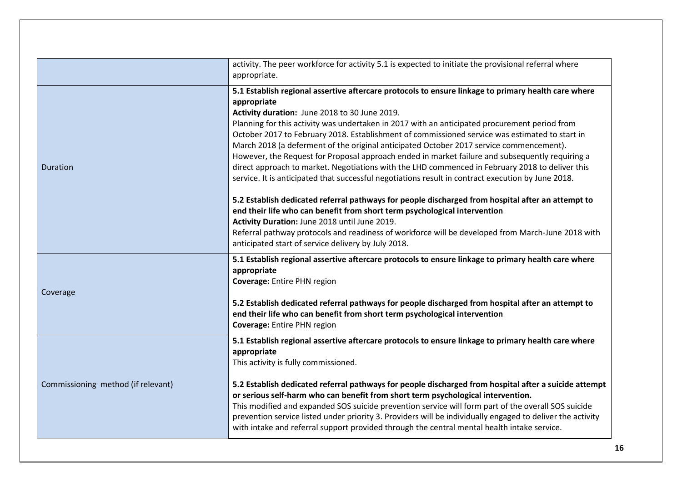|                                    | activity. The peer workforce for activity 5.1 is expected to initiate the provisional referral where<br>appropriate.                                                                                                                                                                                                                                                                                                                                                                                                                                                                                                                                                                                                                                                                                                                                                                                                                                                                                                                                                                                                                                                         |
|------------------------------------|------------------------------------------------------------------------------------------------------------------------------------------------------------------------------------------------------------------------------------------------------------------------------------------------------------------------------------------------------------------------------------------------------------------------------------------------------------------------------------------------------------------------------------------------------------------------------------------------------------------------------------------------------------------------------------------------------------------------------------------------------------------------------------------------------------------------------------------------------------------------------------------------------------------------------------------------------------------------------------------------------------------------------------------------------------------------------------------------------------------------------------------------------------------------------|
| <b>Duration</b>                    | 5.1 Establish regional assertive aftercare protocols to ensure linkage to primary health care where<br>appropriate<br>Activity duration: June 2018 to 30 June 2019.<br>Planning for this activity was undertaken in 2017 with an anticipated procurement period from<br>October 2017 to February 2018. Establishment of commissioned service was estimated to start in<br>March 2018 (a deferment of the original anticipated October 2017 service commencement).<br>However, the Request for Proposal approach ended in market failure and subsequently requiring a<br>direct approach to market. Negotiations with the LHD commenced in February 2018 to deliver this<br>service. It is anticipated that successful negotiations result in contract execution by June 2018.<br>5.2 Establish dedicated referral pathways for people discharged from hospital after an attempt to<br>end their life who can benefit from short term psychological intervention<br>Activity Duration: June 2018 until June 2019.<br>Referral pathway protocols and readiness of workforce will be developed from March-June 2018 with<br>anticipated start of service delivery by July 2018. |
| Coverage                           | 5.1 Establish regional assertive aftercare protocols to ensure linkage to primary health care where<br>appropriate<br><b>Coverage: Entire PHN region</b><br>5.2 Establish dedicated referral pathways for people discharged from hospital after an attempt to<br>end their life who can benefit from short term psychological intervention<br><b>Coverage: Entire PHN region</b>                                                                                                                                                                                                                                                                                                                                                                                                                                                                                                                                                                                                                                                                                                                                                                                             |
| Commissioning method (if relevant) | 5.1 Establish regional assertive aftercare protocols to ensure linkage to primary health care where<br>appropriate<br>This activity is fully commissioned.<br>5.2 Establish dedicated referral pathways for people discharged from hospital after a suicide attempt<br>or serious self-harm who can benefit from short term psychological intervention.<br>This modified and expanded SOS suicide prevention service will form part of the overall SOS suicide<br>prevention service listed under priority 3. Providers will be individually engaged to deliver the activity<br>with intake and referral support provided through the central mental health intake service.                                                                                                                                                                                                                                                                                                                                                                                                                                                                                                  |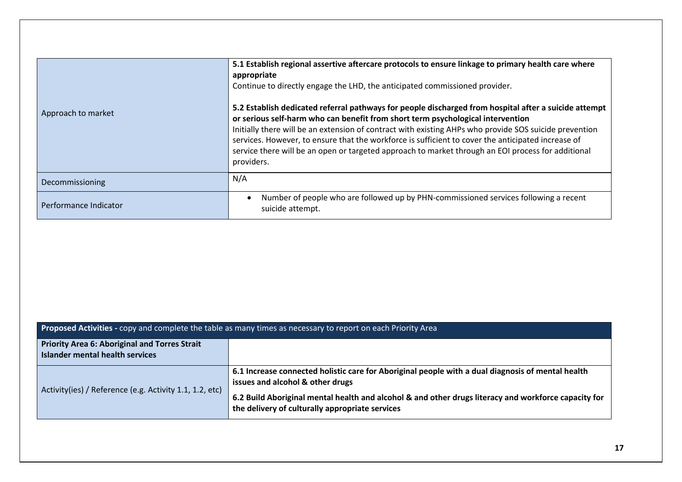| Approach to market    | 5.1 Establish regional assertive aftercare protocols to ensure linkage to primary health care where<br>appropriate<br>Continue to directly engage the LHD, the anticipated commissioned provider.<br>5.2 Establish dedicated referral pathways for people discharged from hospital after a suicide attempt<br>or serious self-harm who can benefit from short term psychological intervention<br>Initially there will be an extension of contract with existing AHPs who provide SOS suicide prevention<br>services. However, to ensure that the workforce is sufficient to cover the anticipated increase of<br>service there will be an open or targeted approach to market through an EOI process for additional<br>providers. |
|-----------------------|-----------------------------------------------------------------------------------------------------------------------------------------------------------------------------------------------------------------------------------------------------------------------------------------------------------------------------------------------------------------------------------------------------------------------------------------------------------------------------------------------------------------------------------------------------------------------------------------------------------------------------------------------------------------------------------------------------------------------------------|
| Decommissioning       | N/A                                                                                                                                                                                                                                                                                                                                                                                                                                                                                                                                                                                                                                                                                                                               |
| Performance Indicator | Number of people who are followed up by PHN-commissioned services following a recent<br>$\bullet$<br>suicide attempt.                                                                                                                                                                                                                                                                                                                                                                                                                                                                                                                                                                                                             |

|                                                                                                | <b>Proposed Activities</b> - copy and complete the table as many times as necessary to report on each Priority Area                                                                                                                                                                              |
|------------------------------------------------------------------------------------------------|--------------------------------------------------------------------------------------------------------------------------------------------------------------------------------------------------------------------------------------------------------------------------------------------------|
| <b>Priority Area 6: Aboriginal and Torres Strait</b><br><b>Islander mental health services</b> |                                                                                                                                                                                                                                                                                                  |
| Activity(ies) / Reference (e.g. Activity 1.1, 1.2, etc)                                        | 6.1 Increase connected holistic care for Aboriginal people with a dual diagnosis of mental health<br>issues and alcohol & other drugs<br>6.2 Build Aboriginal mental health and alcohol & and other drugs literacy and workforce capacity for<br>the delivery of culturally appropriate services |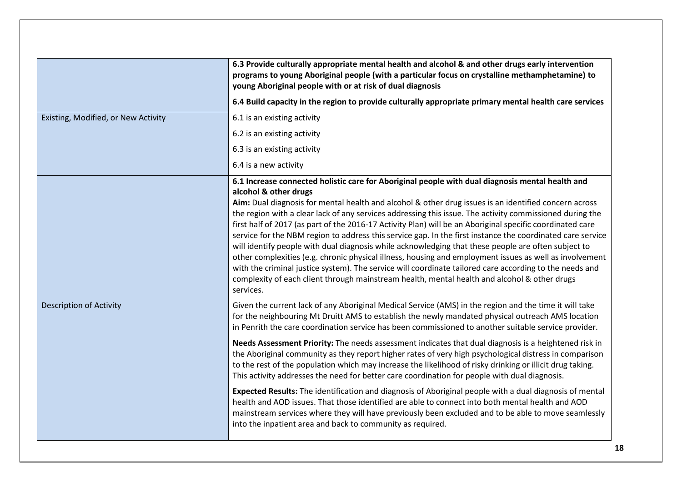|                                     | 6.3 Provide culturally appropriate mental health and alcohol & and other drugs early intervention<br>programs to young Aboriginal people (with a particular focus on crystalline methamphetamine) to<br>young Aboriginal people with or at risk of dual diagnosis                                                                                                                                                                                                                                                                                                                                                                                                                                                                                                                                                                                                                                                                                                                                                   |
|-------------------------------------|---------------------------------------------------------------------------------------------------------------------------------------------------------------------------------------------------------------------------------------------------------------------------------------------------------------------------------------------------------------------------------------------------------------------------------------------------------------------------------------------------------------------------------------------------------------------------------------------------------------------------------------------------------------------------------------------------------------------------------------------------------------------------------------------------------------------------------------------------------------------------------------------------------------------------------------------------------------------------------------------------------------------|
|                                     | 6.4 Build capacity in the region to provide culturally appropriate primary mental health care services                                                                                                                                                                                                                                                                                                                                                                                                                                                                                                                                                                                                                                                                                                                                                                                                                                                                                                              |
| Existing, Modified, or New Activity | 6.1 is an existing activity                                                                                                                                                                                                                                                                                                                                                                                                                                                                                                                                                                                                                                                                                                                                                                                                                                                                                                                                                                                         |
|                                     | 6.2 is an existing activity                                                                                                                                                                                                                                                                                                                                                                                                                                                                                                                                                                                                                                                                                                                                                                                                                                                                                                                                                                                         |
|                                     | 6.3 is an existing activity                                                                                                                                                                                                                                                                                                                                                                                                                                                                                                                                                                                                                                                                                                                                                                                                                                                                                                                                                                                         |
|                                     | 6.4 is a new activity                                                                                                                                                                                                                                                                                                                                                                                                                                                                                                                                                                                                                                                                                                                                                                                                                                                                                                                                                                                               |
|                                     | 6.1 Increase connected holistic care for Aboriginal people with dual diagnosis mental health and<br>alcohol & other drugs<br>Aim: Dual diagnosis for mental health and alcohol & other drug issues is an identified concern across<br>the region with a clear lack of any services addressing this issue. The activity commissioned during the<br>first half of 2017 (as part of the 2016-17 Activity Plan) will be an Aboriginal specific coordinated care<br>service for the NBM region to address this service gap. In the first instance the coordinated care service<br>will identify people with dual diagnosis while acknowledging that these people are often subject to<br>other complexities (e.g. chronic physical illness, housing and employment issues as well as involvement<br>with the criminal justice system). The service will coordinate tailored care according to the needs and<br>complexity of each client through mainstream health, mental health and alcohol & other drugs<br>services. |
| <b>Description of Activity</b>      | Given the current lack of any Aboriginal Medical Service (AMS) in the region and the time it will take<br>for the neighbouring Mt Druitt AMS to establish the newly mandated physical outreach AMS location<br>in Penrith the care coordination service has been commissioned to another suitable service provider.                                                                                                                                                                                                                                                                                                                                                                                                                                                                                                                                                                                                                                                                                                 |
|                                     | Needs Assessment Priority: The needs assessment indicates that dual diagnosis is a heightened risk in<br>the Aboriginal community as they report higher rates of very high psychological distress in comparison<br>to the rest of the population which may increase the likelihood of risky drinking or illicit drug taking.<br>This activity addresses the need for better care coordination for people with dual diagnosis.                                                                                                                                                                                                                                                                                                                                                                                                                                                                                                                                                                                       |
|                                     | Expected Results: The identification and diagnosis of Aboriginal people with a dual diagnosis of mental<br>health and AOD issues. That those identified are able to connect into both mental health and AOD<br>mainstream services where they will have previously been excluded and to be able to move seamlessly<br>into the inpatient area and back to community as required.                                                                                                                                                                                                                                                                                                                                                                                                                                                                                                                                                                                                                                    |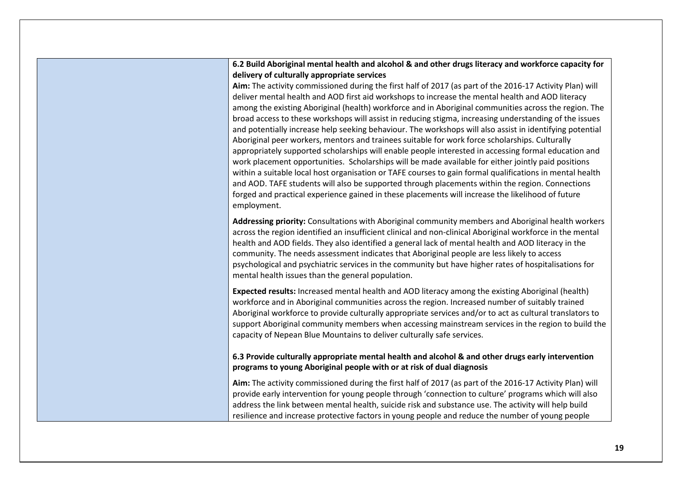## **6.2 Build Aboriginal mental health and alcohol & and other drugs literacy and workforce capacity for delivery of culturally appropriate services**

**Aim:** The activity commissioned during the first half of 2017 (as part of the 2016-17 Activity Plan) will deliver mental health and AOD first aid workshops to increase the mental health and AOD literacy among the existing Aboriginal (health) workforce and in Aboriginal communities across the region. The broad access to these workshops will assist in reducing stigma, increasing understanding of the issues and potentially increase help seeking behaviour. The workshops will also assist in identifying potential Aboriginal peer workers, mentors and trainees suitable for work force scholarships. Culturally appropriately supported scholarships will enable people interested in accessing formal education and work placement opportunities. Scholarships will be made available for either jointly paid positions within a suitable local host organisation or TAFE courses to gain formal qualifications in mental health and AOD. TAFE students will also be supported through placements within the region. Connections forged and practical experience gained in these placements will increase the likelihood of future employment.

**Addressing priority:** Consultations with Aboriginal community members and Aboriginal health workers across the region identified an insufficient clinical and non-clinical Aboriginal workforce in the mental health and AOD fields. They also identified a general lack of mental health and AOD literacy in the community. The needs assessment indicates that Aboriginal people are less likely to access psychological and psychiatric services in the community but have higher rates of hospitalisations for mental health issues than the general population.

**Expected results:** Increased mental health and AOD literacy among the existing Aboriginal (health) workforce and in Aboriginal communities across the region. Increased number of suitably trained Aboriginal workforce to provide culturally appropriate services and/or to act as cultural translators to support Aboriginal community members when accessing mainstream services in the region to build the capacity of Nepean Blue Mountains to deliver culturally safe services.

### **6.3 Provide culturally appropriate mental health and alcohol & and other drugs early intervention programs to young Aboriginal people with or at risk of dual diagnosis**

**Aim:** The activity commissioned during the first half of 2017 (as part of the 2016-17 Activity Plan) will provide early intervention for young people through 'connection to culture' programs which will also address the link between mental health, suicide risk and substance use. The activity will help build resilience and increase protective factors in young people and reduce the number of young people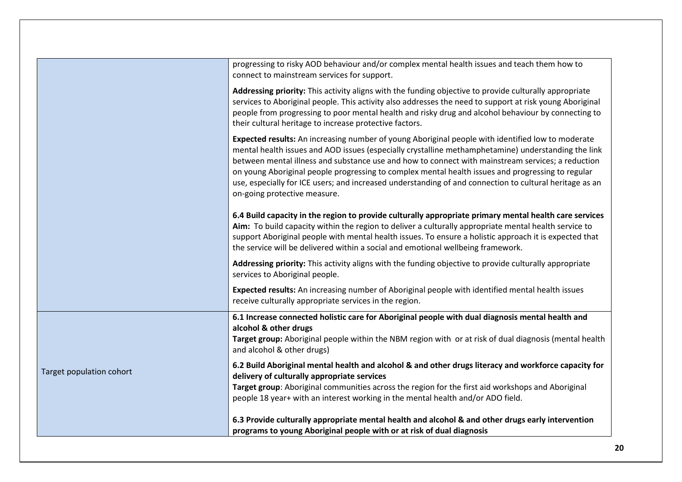|                          | progressing to risky AOD behaviour and/or complex mental health issues and teach them how to<br>connect to mainstream services for support.                                                                                                                                                                                                                                                                                                                                                                                                                   |
|--------------------------|---------------------------------------------------------------------------------------------------------------------------------------------------------------------------------------------------------------------------------------------------------------------------------------------------------------------------------------------------------------------------------------------------------------------------------------------------------------------------------------------------------------------------------------------------------------|
|                          | Addressing priority: This activity aligns with the funding objective to provide culturally appropriate<br>services to Aboriginal people. This activity also addresses the need to support at risk young Aboriginal<br>people from progressing to poor mental health and risky drug and alcohol behaviour by connecting to<br>their cultural heritage to increase protective factors.                                                                                                                                                                          |
|                          | Expected results: An increasing number of young Aboriginal people with identified low to moderate<br>mental health issues and AOD issues (especially crystalline methamphetamine) understanding the link<br>between mental illness and substance use and how to connect with mainstream services; a reduction<br>on young Aboriginal people progressing to complex mental health issues and progressing to regular<br>use, especially for ICE users; and increased understanding of and connection to cultural heritage as an<br>on-going protective measure. |
|                          | 6.4 Build capacity in the region to provide culturally appropriate primary mental health care services<br>Aim: To build capacity within the region to deliver a culturally appropriate mental health service to<br>support Aboriginal people with mental health issues. To ensure a holistic approach it is expected that<br>the service will be delivered within a social and emotional wellbeing framework.                                                                                                                                                 |
|                          | Addressing priority: This activity aligns with the funding objective to provide culturally appropriate<br>services to Aboriginal people.                                                                                                                                                                                                                                                                                                                                                                                                                      |
|                          | Expected results: An increasing number of Aboriginal people with identified mental health issues<br>receive culturally appropriate services in the region.                                                                                                                                                                                                                                                                                                                                                                                                    |
|                          | 6.1 Increase connected holistic care for Aboriginal people with dual diagnosis mental health and<br>alcohol & other drugs<br>Target group: Aboriginal people within the NBM region with or at risk of dual diagnosis (mental health<br>and alcohol & other drugs)                                                                                                                                                                                                                                                                                             |
| Target population cohort | 6.2 Build Aboriginal mental health and alcohol & and other drugs literacy and workforce capacity for<br>delivery of culturally appropriate services<br>Target group: Aboriginal communities across the region for the first aid workshops and Aboriginal<br>people 18 year+ with an interest working in the mental health and/or ADO field.                                                                                                                                                                                                                   |
|                          | 6.3 Provide culturally appropriate mental health and alcohol & and other drugs early intervention<br>programs to young Aboriginal people with or at risk of dual diagnosis                                                                                                                                                                                                                                                                                                                                                                                    |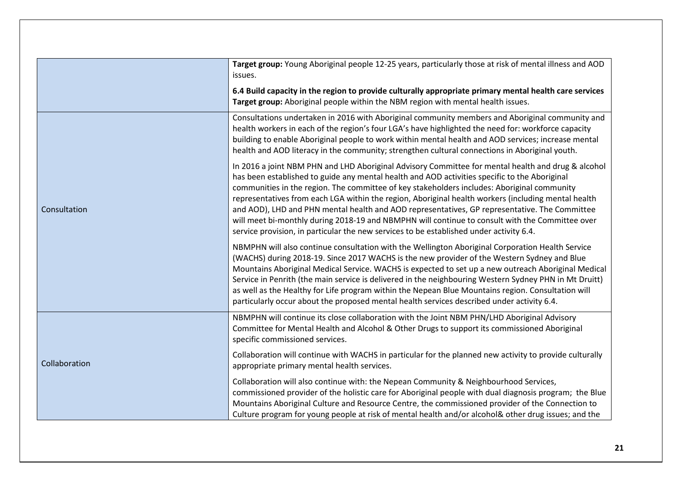|               | Target group: Young Aboriginal people 12-25 years, particularly those at risk of mental illness and AOD<br>issues.                                                                                                                                                                                                                                                                                                                                                                                                                                                                                                                                                                                       |
|---------------|----------------------------------------------------------------------------------------------------------------------------------------------------------------------------------------------------------------------------------------------------------------------------------------------------------------------------------------------------------------------------------------------------------------------------------------------------------------------------------------------------------------------------------------------------------------------------------------------------------------------------------------------------------------------------------------------------------|
|               | 6.4 Build capacity in the region to provide culturally appropriate primary mental health care services<br>Target group: Aboriginal people within the NBM region with mental health issues.                                                                                                                                                                                                                                                                                                                                                                                                                                                                                                               |
| Consultation  | Consultations undertaken in 2016 with Aboriginal community members and Aboriginal community and<br>health workers in each of the region's four LGA's have highlighted the need for: workforce capacity<br>building to enable Aboriginal people to work within mental health and AOD services; increase mental<br>health and AOD literacy in the community; strengthen cultural connections in Aboriginal youth.                                                                                                                                                                                                                                                                                          |
|               | In 2016 a joint NBM PHN and LHD Aboriginal Advisory Committee for mental health and drug & alcohol<br>has been established to guide any mental health and AOD activities specific to the Aboriginal<br>communities in the region. The committee of key stakeholders includes: Aboriginal community<br>representatives from each LGA within the region, Aboriginal health workers (including mental health<br>and AOD), LHD and PHN mental health and AOD representatives, GP representative. The Committee<br>will meet bi-monthly during 2018-19 and NBMPHN will continue to consult with the Committee over<br>service provision, in particular the new services to be established under activity 6.4. |
|               | NBMPHN will also continue consultation with the Wellington Aboriginal Corporation Health Service<br>(WACHS) during 2018-19. Since 2017 WACHS is the new provider of the Western Sydney and Blue<br>Mountains Aboriginal Medical Service. WACHS is expected to set up a new outreach Aboriginal Medical<br>Service in Penrith (the main service is delivered in the neighbouring Western Sydney PHN in Mt Druitt)<br>as well as the Healthy for Life program within the Nepean Blue Mountains region. Consultation will<br>particularly occur about the proposed mental health services described under activity 6.4.                                                                                     |
| Collaboration | NBMPHN will continue its close collaboration with the Joint NBM PHN/LHD Aboriginal Advisory<br>Committee for Mental Health and Alcohol & Other Drugs to support its commissioned Aboriginal<br>specific commissioned services.                                                                                                                                                                                                                                                                                                                                                                                                                                                                           |
|               | Collaboration will continue with WACHS in particular for the planned new activity to provide culturally<br>appropriate primary mental health services.                                                                                                                                                                                                                                                                                                                                                                                                                                                                                                                                                   |
|               | Collaboration will also continue with: the Nepean Community & Neighbourhood Services,<br>commissioned provider of the holistic care for Aboriginal people with dual diagnosis program; the Blue<br>Mountains Aboriginal Culture and Resource Centre, the commissioned provider of the Connection to<br>Culture program for young people at risk of mental health and/or alcohol& other drug issues; and the                                                                                                                                                                                                                                                                                              |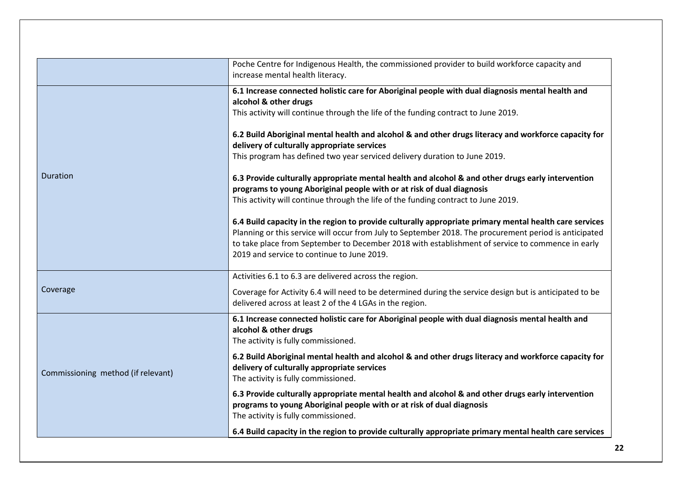|                                    | Poche Centre for Indigenous Health, the commissioned provider to build workforce capacity and<br>increase mental health literacy.                                                                                                                                                                                                                                                                                                                    |
|------------------------------------|------------------------------------------------------------------------------------------------------------------------------------------------------------------------------------------------------------------------------------------------------------------------------------------------------------------------------------------------------------------------------------------------------------------------------------------------------|
|                                    | 6.1 Increase connected holistic care for Aboriginal people with dual diagnosis mental health and<br>alcohol & other drugs<br>This activity will continue through the life of the funding contract to June 2019.<br>6.2 Build Aboriginal mental health and alcohol & and other drugs literacy and workforce capacity for<br>delivery of culturally appropriate services<br>This program has defined two year serviced delivery duration to June 2019. |
| Duration                           | 6.3 Provide culturally appropriate mental health and alcohol & and other drugs early intervention<br>programs to young Aboriginal people with or at risk of dual diagnosis<br>This activity will continue through the life of the funding contract to June 2019.                                                                                                                                                                                     |
|                                    | 6.4 Build capacity in the region to provide culturally appropriate primary mental health care services<br>Planning or this service will occur from July to September 2018. The procurement period is anticipated<br>to take place from September to December 2018 with establishment of service to commence in early<br>2019 and service to continue to June 2019.                                                                                   |
|                                    | Activities 6.1 to 6.3 are delivered across the region.                                                                                                                                                                                                                                                                                                                                                                                               |
| Coverage                           | Coverage for Activity 6.4 will need to be determined during the service design but is anticipated to be<br>delivered across at least 2 of the 4 LGAs in the region.                                                                                                                                                                                                                                                                                  |
| Commissioning method (if relevant) | 6.1 Increase connected holistic care for Aboriginal people with dual diagnosis mental health and<br>alcohol & other drugs<br>The activity is fully commissioned.                                                                                                                                                                                                                                                                                     |
|                                    | 6.2 Build Aboriginal mental health and alcohol & and other drugs literacy and workforce capacity for<br>delivery of culturally appropriate services<br>The activity is fully commissioned.                                                                                                                                                                                                                                                           |
|                                    | 6.3 Provide culturally appropriate mental health and alcohol & and other drugs early intervention<br>programs to young Aboriginal people with or at risk of dual diagnosis<br>The activity is fully commissioned.                                                                                                                                                                                                                                    |
|                                    | 6.4 Build capacity in the region to provide culturally appropriate primary mental health care services                                                                                                                                                                                                                                                                                                                                               |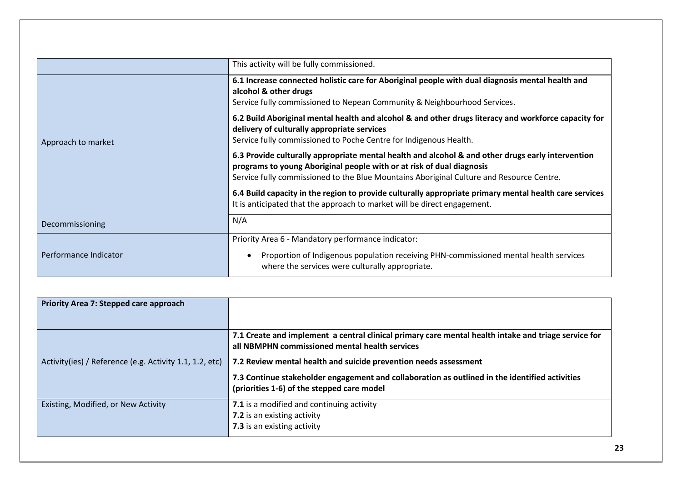|                       | This activity will be fully commissioned.                                                                                                                                                                                                                                                                     |
|-----------------------|---------------------------------------------------------------------------------------------------------------------------------------------------------------------------------------------------------------------------------------------------------------------------------------------------------------|
|                       | 6.1 Increase connected holistic care for Aboriginal people with dual diagnosis mental health and<br>alcohol & other drugs<br>Service fully commissioned to Nepean Community & Neighbourhood Services.<br>6.2 Build Aboriginal mental health and alcohol & and other drugs literacy and workforce capacity for |
| Approach to market    | delivery of culturally appropriate services<br>Service fully commissioned to Poche Centre for Indigenous Health.                                                                                                                                                                                              |
|                       | 6.3 Provide culturally appropriate mental health and alcohol & and other drugs early intervention<br>programs to young Aboriginal people with or at risk of dual diagnosis<br>Service fully commissioned to the Blue Mountains Aboriginal Culture and Resource Centre.                                        |
|                       | 6.4 Build capacity in the region to provide culturally appropriate primary mental health care services<br>It is anticipated that the approach to market will be direct engagement.                                                                                                                            |
| Decommissioning       | N/A                                                                                                                                                                                                                                                                                                           |
|                       | Priority Area 6 - Mandatory performance indicator:                                                                                                                                                                                                                                                            |
| Performance Indicator | Proportion of Indigenous population receiving PHN-commissioned mental health services<br>where the services were culturally appropriate.                                                                                                                                                                      |

| Priority Area 7: Stepped care approach                  |                                                                                                                                                        |
|---------------------------------------------------------|--------------------------------------------------------------------------------------------------------------------------------------------------------|
|                                                         | 7.1 Create and implement a central clinical primary care mental health intake and triage service for<br>all NBMPHN commissioned mental health services |
| Activity(ies) / Reference (e.g. Activity 1.1, 1.2, etc) | 7.2 Review mental health and suicide prevention needs assessment                                                                                       |
|                                                         | 7.3 Continue stakeholder engagement and collaboration as outlined in the identified activities<br>(priorities 1-6) of the stepped care model           |
| Existing, Modified, or New Activity                     | <b>7.1</b> is a modified and continuing activity                                                                                                       |
|                                                         | 7.2 is an existing activity                                                                                                                            |
|                                                         | 7.3 is an existing activity                                                                                                                            |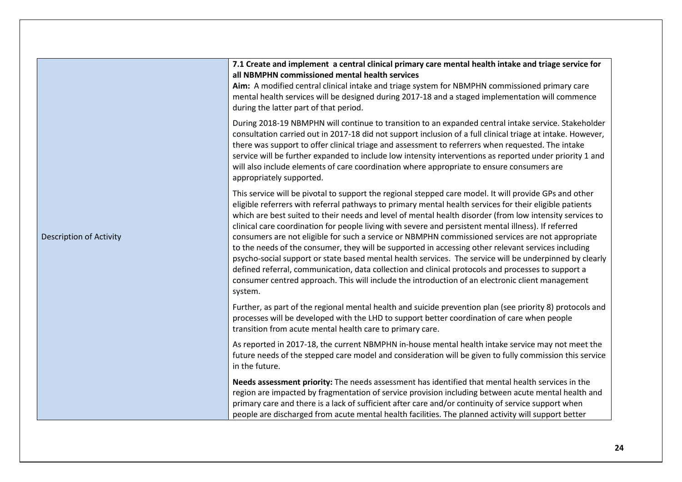|                         | 7.1 Create and implement a central clinical primary care mental health intake and triage service for<br>all NBMPHN commissioned mental health services<br>Aim: A modified central clinical intake and triage system for NBMPHN commissioned primary care<br>mental health services will be designed during 2017-18 and a staged implementation will commence<br>during the latter part of that period.                                                                                                                                                                                                                                                                                                                                                                                                                                                                                                                                                                            |
|-------------------------|-----------------------------------------------------------------------------------------------------------------------------------------------------------------------------------------------------------------------------------------------------------------------------------------------------------------------------------------------------------------------------------------------------------------------------------------------------------------------------------------------------------------------------------------------------------------------------------------------------------------------------------------------------------------------------------------------------------------------------------------------------------------------------------------------------------------------------------------------------------------------------------------------------------------------------------------------------------------------------------|
| Description of Activity | During 2018-19 NBMPHN will continue to transition to an expanded central intake service. Stakeholder<br>consultation carried out in 2017-18 did not support inclusion of a full clinical triage at intake. However,<br>there was support to offer clinical triage and assessment to referrers when requested. The intake<br>service will be further expanded to include low intensity interventions as reported under priority 1 and<br>will also include elements of care coordination where appropriate to ensure consumers are<br>appropriately supported.                                                                                                                                                                                                                                                                                                                                                                                                                     |
|                         | This service will be pivotal to support the regional stepped care model. It will provide GPs and other<br>eligible referrers with referral pathways to primary mental health services for their eligible patients<br>which are best suited to their needs and level of mental health disorder (from low intensity services to<br>clinical care coordination for people living with severe and persistent mental illness). If referred<br>consumers are not eligible for such a service or NBMPHN commissioned services are not appropriate<br>to the needs of the consumer, they will be supported in accessing other relevant services including<br>psycho-social support or state based mental health services. The service will be underpinned by clearly<br>defined referral, communication, data collection and clinical protocols and processes to support a<br>consumer centred approach. This will include the introduction of an electronic client management<br>system. |
|                         | Further, as part of the regional mental health and suicide prevention plan (see priority 8) protocols and<br>processes will be developed with the LHD to support better coordination of care when people<br>transition from acute mental health care to primary care.                                                                                                                                                                                                                                                                                                                                                                                                                                                                                                                                                                                                                                                                                                             |
|                         | As reported in 2017-18, the current NBMPHN in-house mental health intake service may not meet the<br>future needs of the stepped care model and consideration will be given to fully commission this service<br>in the future.                                                                                                                                                                                                                                                                                                                                                                                                                                                                                                                                                                                                                                                                                                                                                    |
|                         | Needs assessment priority: The needs assessment has identified that mental health services in the<br>region are impacted by fragmentation of service provision including between acute mental health and<br>primary care and there is a lack of sufficient after care and/or continuity of service support when<br>people are discharged from acute mental health facilities. The planned activity will support better                                                                                                                                                                                                                                                                                                                                                                                                                                                                                                                                                            |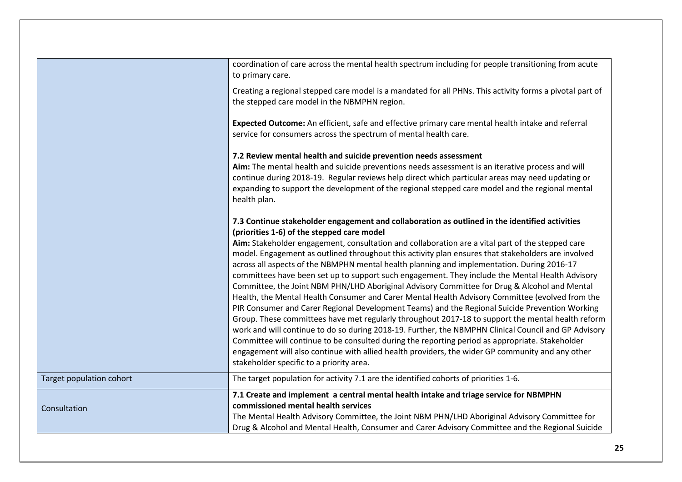|                          | coordination of care across the mental health spectrum including for people transitioning from acute<br>to primary care.<br>Creating a regional stepped care model is a mandated for all PHNs. This activity forms a pivotal part of                                                                                                                                                                                                                                                                                                                                                                                                                                                                                                                                                                                                                                                                                                                                                                                                                                                                                                                                                                                                                                                                                         |
|--------------------------|------------------------------------------------------------------------------------------------------------------------------------------------------------------------------------------------------------------------------------------------------------------------------------------------------------------------------------------------------------------------------------------------------------------------------------------------------------------------------------------------------------------------------------------------------------------------------------------------------------------------------------------------------------------------------------------------------------------------------------------------------------------------------------------------------------------------------------------------------------------------------------------------------------------------------------------------------------------------------------------------------------------------------------------------------------------------------------------------------------------------------------------------------------------------------------------------------------------------------------------------------------------------------------------------------------------------------|
|                          | the stepped care model in the NBMPHN region.                                                                                                                                                                                                                                                                                                                                                                                                                                                                                                                                                                                                                                                                                                                                                                                                                                                                                                                                                                                                                                                                                                                                                                                                                                                                                 |
|                          | Expected Outcome: An efficient, safe and effective primary care mental health intake and referral<br>service for consumers across the spectrum of mental health care.                                                                                                                                                                                                                                                                                                                                                                                                                                                                                                                                                                                                                                                                                                                                                                                                                                                                                                                                                                                                                                                                                                                                                        |
|                          | 7.2 Review mental health and suicide prevention needs assessment<br>Aim: The mental health and suicide preventions needs assessment is an iterative process and will<br>continue during 2018-19. Regular reviews help direct which particular areas may need updating or<br>expanding to support the development of the regional stepped care model and the regional mental<br>health plan.                                                                                                                                                                                                                                                                                                                                                                                                                                                                                                                                                                                                                                                                                                                                                                                                                                                                                                                                  |
|                          | 7.3 Continue stakeholder engagement and collaboration as outlined in the identified activities<br>(priorities 1-6) of the stepped care model<br>Aim: Stakeholder engagement, consultation and collaboration are a vital part of the stepped care<br>model. Engagement as outlined throughout this activity plan ensures that stakeholders are involved<br>across all aspects of the NBMPHN mental health planning and implementation. During 2016-17<br>committees have been set up to support such engagement. They include the Mental Health Advisory<br>Committee, the Joint NBM PHN/LHD Aboriginal Advisory Committee for Drug & Alcohol and Mental<br>Health, the Mental Health Consumer and Carer Mental Health Advisory Committee (evolved from the<br>PIR Consumer and Carer Regional Development Teams) and the Regional Suicide Prevention Working<br>Group. These committees have met regularly throughout 2017-18 to support the mental health reform<br>work and will continue to do so during 2018-19. Further, the NBMPHN Clinical Council and GP Advisory<br>Committee will continue to be consulted during the reporting period as appropriate. Stakeholder<br>engagement will also continue with allied health providers, the wider GP community and any other<br>stakeholder specific to a priority area. |
| Target population cohort | The target population for activity 7.1 are the identified cohorts of priorities 1-6.                                                                                                                                                                                                                                                                                                                                                                                                                                                                                                                                                                                                                                                                                                                                                                                                                                                                                                                                                                                                                                                                                                                                                                                                                                         |
| Consultation             | 7.1 Create and implement a central mental health intake and triage service for NBMPHN<br>commissioned mental health services<br>The Mental Health Advisory Committee, the Joint NBM PHN/LHD Aboriginal Advisory Committee for<br>Drug & Alcohol and Mental Health, Consumer and Carer Advisory Committee and the Regional Suicide                                                                                                                                                                                                                                                                                                                                                                                                                                                                                                                                                                                                                                                                                                                                                                                                                                                                                                                                                                                            |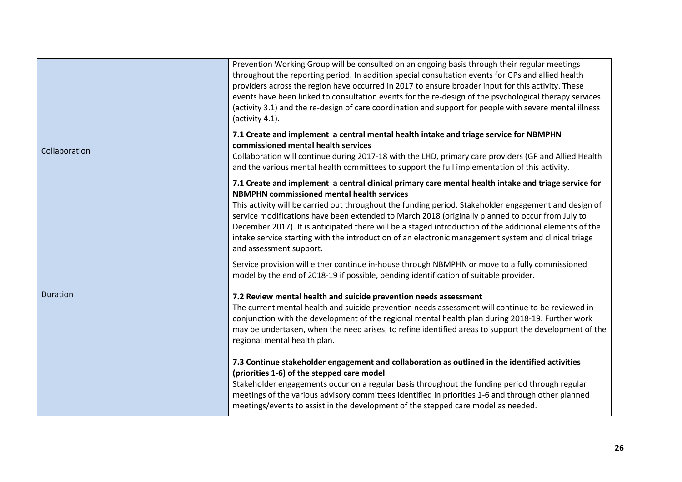|               | Prevention Working Group will be consulted on an ongoing basis through their regular meetings<br>throughout the reporting period. In addition special consultation events for GPs and allied health<br>providers across the region have occurred in 2017 to ensure broader input for this activity. These<br>events have been linked to consultation events for the re-design of the psychological therapy services<br>(activity 3.1) and the re-design of care coordination and support for people with severe mental illness<br>(activity 4.1).                                                                    |
|---------------|----------------------------------------------------------------------------------------------------------------------------------------------------------------------------------------------------------------------------------------------------------------------------------------------------------------------------------------------------------------------------------------------------------------------------------------------------------------------------------------------------------------------------------------------------------------------------------------------------------------------|
| Collaboration | 7.1 Create and implement a central mental health intake and triage service for NBMPHN<br>commissioned mental health services<br>Collaboration will continue during 2017-18 with the LHD, primary care providers (GP and Allied Health<br>and the various mental health committees to support the full implementation of this activity.                                                                                                                                                                                                                                                                               |
|               | 7.1 Create and implement a central clinical primary care mental health intake and triage service for<br><b>NBMPHN commissioned mental health services</b><br>This activity will be carried out throughout the funding period. Stakeholder engagement and design of<br>service modifications have been extended to March 2018 (originally planned to occur from July to<br>December 2017). It is anticipated there will be a staged introduction of the additional elements of the<br>intake service starting with the introduction of an electronic management system and clinical triage<br>and assessment support. |
|               | Service provision will either continue in-house through NBMPHN or move to a fully commissioned<br>model by the end of 2018-19 if possible, pending identification of suitable provider.                                                                                                                                                                                                                                                                                                                                                                                                                              |
| Duration      | 7.2 Review mental health and suicide prevention needs assessment<br>The current mental health and suicide prevention needs assessment will continue to be reviewed in<br>conjunction with the development of the regional mental health plan during 2018-19. Further work<br>may be undertaken, when the need arises, to refine identified areas to support the development of the<br>regional mental health plan.                                                                                                                                                                                                   |
|               | 7.3 Continue stakeholder engagement and collaboration as outlined in the identified activities<br>(priorities 1-6) of the stepped care model<br>Stakeholder engagements occur on a regular basis throughout the funding period through regular<br>meetings of the various advisory committees identified in priorities 1-6 and through other planned<br>meetings/events to assist in the development of the stepped care model as needed.                                                                                                                                                                            |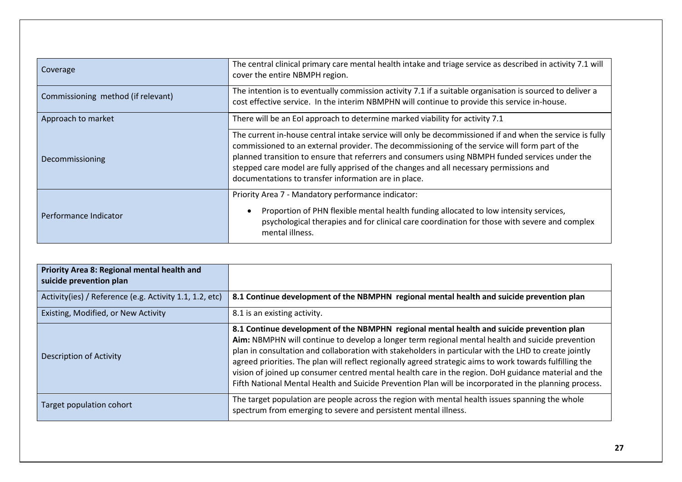| Coverage                           | The central clinical primary care mental health intake and triage service as described in activity 7.1 will<br>cover the entire NBMPH region.                                                                                                                                                                                                                                                                                                                   |
|------------------------------------|-----------------------------------------------------------------------------------------------------------------------------------------------------------------------------------------------------------------------------------------------------------------------------------------------------------------------------------------------------------------------------------------------------------------------------------------------------------------|
| Commissioning method (if relevant) | The intention is to eventually commission activity 7.1 if a suitable organisation is sourced to deliver a<br>cost effective service. In the interim NBMPHN will continue to provide this service in-house.                                                                                                                                                                                                                                                      |
| Approach to market                 | There will be an EoI approach to determine marked viability for activity 7.1                                                                                                                                                                                                                                                                                                                                                                                    |
| Decommissioning                    | The current in-house central intake service will only be decommissioned if and when the service is fully<br>commissioned to an external provider. The decommissioning of the service will form part of the<br>planned transition to ensure that referrers and consumers using NBMPH funded services under the<br>stepped care model are fully apprised of the changes and all necessary permissions and<br>documentations to transfer information are in place. |
| Performance Indicator              | Priority Area 7 - Mandatory performance indicator:<br>Proportion of PHN flexible mental health funding allocated to low intensity services,<br>psychological therapies and for clinical care coordination for those with severe and complex<br>mental illness.                                                                                                                                                                                                  |

| Priority Area 8: Regional mental health and<br>suicide prevention plan |                                                                                                                                                                                                                                                                                                                                                                                                                                                                                                                                                                                                                                      |
|------------------------------------------------------------------------|--------------------------------------------------------------------------------------------------------------------------------------------------------------------------------------------------------------------------------------------------------------------------------------------------------------------------------------------------------------------------------------------------------------------------------------------------------------------------------------------------------------------------------------------------------------------------------------------------------------------------------------|
| Activity (ies) / Reference (e.g. Activity 1.1, 1.2, etc)               | 8.1 Continue development of the NBMPHN regional mental health and suicide prevention plan                                                                                                                                                                                                                                                                                                                                                                                                                                                                                                                                            |
| Existing, Modified, or New Activity                                    | 8.1 is an existing activity.                                                                                                                                                                                                                                                                                                                                                                                                                                                                                                                                                                                                         |
| Description of Activity                                                | 8.1 Continue development of the NBMPHN regional mental health and suicide prevention plan<br>Aim: NBMPHN will continue to develop a longer term regional mental health and suicide prevention<br>plan in consultation and collaboration with stakeholders in particular with the LHD to create jointly<br>agreed priorities. The plan will reflect regionally agreed strategic aims to work towards fulfilling the<br>vision of joined up consumer centred mental health care in the region. DoH guidance material and the<br>Fifth National Mental Health and Suicide Prevention Plan will be incorporated in the planning process. |
| Target population cohort                                               | The target population are people across the region with mental health issues spanning the whole<br>spectrum from emerging to severe and persistent mental illness.                                                                                                                                                                                                                                                                                                                                                                                                                                                                   |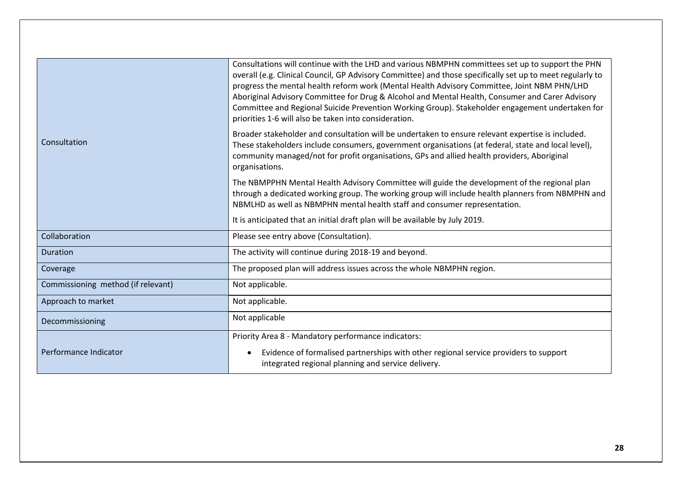|                                    | Consultations will continue with the LHD and various NBMPHN committees set up to support the PHN<br>overall (e.g. Clinical Council, GP Advisory Committee) and those specifically set up to meet regularly to<br>progress the mental health reform work (Mental Health Advisory Committee, Joint NBM PHN/LHD<br>Aboriginal Advisory Committee for Drug & Alcohol and Mental Health, Consumer and Carer Advisory<br>Committee and Regional Suicide Prevention Working Group). Stakeholder engagement undertaken for<br>priorities 1-6 will also be taken into consideration. |
|------------------------------------|-----------------------------------------------------------------------------------------------------------------------------------------------------------------------------------------------------------------------------------------------------------------------------------------------------------------------------------------------------------------------------------------------------------------------------------------------------------------------------------------------------------------------------------------------------------------------------|
| Consultation                       | Broader stakeholder and consultation will be undertaken to ensure relevant expertise is included.<br>These stakeholders include consumers, government organisations (at federal, state and local level),<br>community managed/not for profit organisations, GPs and allied health providers, Aboriginal<br>organisations.                                                                                                                                                                                                                                                   |
|                                    | The NBMPPHN Mental Health Advisory Committee will guide the development of the regional plan<br>through a dedicated working group. The working group will include health planners from NBMPHN and<br>NBMLHD as well as NBMPHN mental health staff and consumer representation.                                                                                                                                                                                                                                                                                              |
|                                    | It is anticipated that an initial draft plan will be available by July 2019.                                                                                                                                                                                                                                                                                                                                                                                                                                                                                                |
| Collaboration                      | Please see entry above (Consultation).                                                                                                                                                                                                                                                                                                                                                                                                                                                                                                                                      |
| <b>Duration</b>                    | The activity will continue during 2018-19 and beyond.                                                                                                                                                                                                                                                                                                                                                                                                                                                                                                                       |
| Coverage                           | The proposed plan will address issues across the whole NBMPHN region.                                                                                                                                                                                                                                                                                                                                                                                                                                                                                                       |
| Commissioning method (if relevant) | Not applicable.                                                                                                                                                                                                                                                                                                                                                                                                                                                                                                                                                             |
| Approach to market                 | Not applicable.                                                                                                                                                                                                                                                                                                                                                                                                                                                                                                                                                             |
| Decommissioning                    | Not applicable                                                                                                                                                                                                                                                                                                                                                                                                                                                                                                                                                              |
| Performance Indicator              | Priority Area 8 - Mandatory performance indicators:<br>Evidence of formalised partnerships with other regional service providers to support<br>integrated regional planning and service delivery.                                                                                                                                                                                                                                                                                                                                                                           |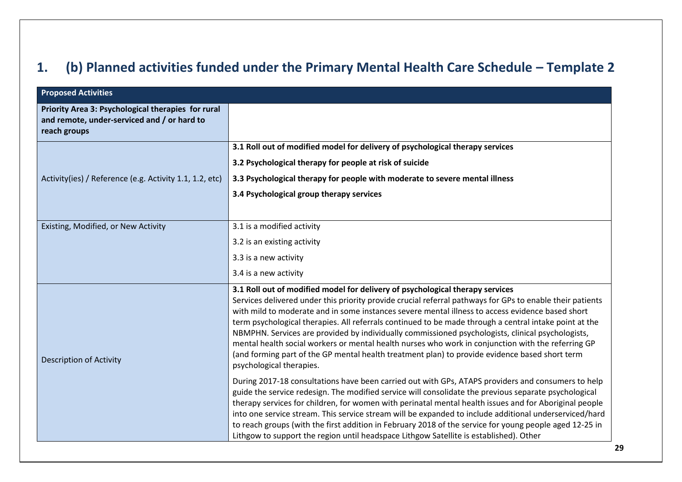# 1. (b) Planned activities funded under the Primary Mental Health Care Schedule - Template 2

| <b>Proposed Activities</b>                                                                                        |                                                                                                                                                                                                                                                                                                                                                                                                                                                                                                                                                                                                                                                                                                                                                   |
|-------------------------------------------------------------------------------------------------------------------|---------------------------------------------------------------------------------------------------------------------------------------------------------------------------------------------------------------------------------------------------------------------------------------------------------------------------------------------------------------------------------------------------------------------------------------------------------------------------------------------------------------------------------------------------------------------------------------------------------------------------------------------------------------------------------------------------------------------------------------------------|
| Priority Area 3: Psychological therapies for rural<br>and remote, under-serviced and / or hard to<br>reach groups |                                                                                                                                                                                                                                                                                                                                                                                                                                                                                                                                                                                                                                                                                                                                                   |
|                                                                                                                   | 3.1 Roll out of modified model for delivery of psychological therapy services                                                                                                                                                                                                                                                                                                                                                                                                                                                                                                                                                                                                                                                                     |
|                                                                                                                   | 3.2 Psychological therapy for people at risk of suicide                                                                                                                                                                                                                                                                                                                                                                                                                                                                                                                                                                                                                                                                                           |
| Activity(ies) / Reference (e.g. Activity 1.1, 1.2, etc)                                                           | 3.3 Psychological therapy for people with moderate to severe mental illness                                                                                                                                                                                                                                                                                                                                                                                                                                                                                                                                                                                                                                                                       |
|                                                                                                                   | 3.4 Psychological group therapy services                                                                                                                                                                                                                                                                                                                                                                                                                                                                                                                                                                                                                                                                                                          |
|                                                                                                                   |                                                                                                                                                                                                                                                                                                                                                                                                                                                                                                                                                                                                                                                                                                                                                   |
| Existing, Modified, or New Activity                                                                               | 3.1 is a modified activity                                                                                                                                                                                                                                                                                                                                                                                                                                                                                                                                                                                                                                                                                                                        |
|                                                                                                                   | 3.2 is an existing activity                                                                                                                                                                                                                                                                                                                                                                                                                                                                                                                                                                                                                                                                                                                       |
|                                                                                                                   | 3.3 is a new activity                                                                                                                                                                                                                                                                                                                                                                                                                                                                                                                                                                                                                                                                                                                             |
|                                                                                                                   | 3.4 is a new activity                                                                                                                                                                                                                                                                                                                                                                                                                                                                                                                                                                                                                                                                                                                             |
| <b>Description of Activity</b>                                                                                    | 3.1 Roll out of modified model for delivery of psychological therapy services<br>Services delivered under this priority provide crucial referral pathways for GPs to enable their patients<br>with mild to moderate and in some instances severe mental illness to access evidence based short<br>term psychological therapies. All referrals continued to be made through a central intake point at the<br>NBMPHN. Services are provided by individually commissioned psychologists, clinical psychologists,<br>mental health social workers or mental health nurses who work in conjunction with the referring GP<br>(and forming part of the GP mental health treatment plan) to provide evidence based short term<br>psychological therapies. |
|                                                                                                                   | During 2017-18 consultations have been carried out with GPs, ATAPS providers and consumers to help<br>guide the service redesign. The modified service will consolidate the previous separate psychological<br>therapy services for children, for women with perinatal mental health issues and for Aboriginal people<br>into one service stream. This service stream will be expanded to include additional underserviced/hard<br>to reach groups (with the first addition in February 2018 of the service for young people aged 12-25 in<br>Lithgow to support the region until headspace Lithgow Satellite is established). Other                                                                                                              |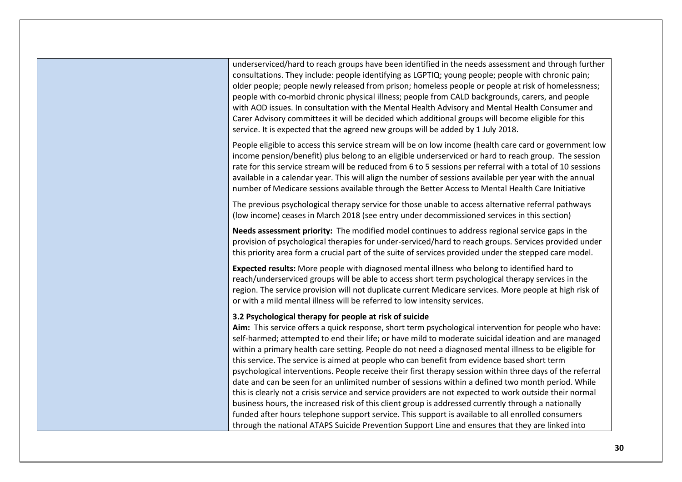underserviced/hard to reach groups have been identified in the needs assessment and through further consultations. They include: people identifying as LGPTIQ; young people; people with chronic pain; older people; people newly released from prison; homeless people or people at risk of homelessness; people with co-morbid chronic physical illness; people from CALD backgrounds, carers, and people with AOD issues. In consultation with the Mental Health Advisory and Mental Health Consumer and Carer Advisory committees it will be decided which additional groups will become eligible for this service. It is expected that the agreed new groups will be added by 1 July 2018.

People eligible to access this service stream will be on low income (health care card or government low income pension/benefit) plus belong to an eligible underserviced or hard to reach group. The session rate for this service stream will be reduced from 6 to 5 sessions per referral with a total of 10 sessions available in a calendar year. This will align the number of sessions available per year with the annual number of Medicare sessions available through the Better Access to Mental Health Care Initiative

The previous psychological therapy service for those unable to access alternative referral pathways (low income) ceases in March 2018 (see entry under decommissioned services in this section)

**Needs assessment priority:** The modified model continues to address regional service gaps in the provision of psychological therapies for under-serviced/hard to reach groups. Services provided under this priority area form a crucial part of the suite of services provided under the stepped care model.

**Expected results:** More people with diagnosed mental illness who belong to identified hard to reach/underserviced groups will be able to access short term psychological therapy services in the region. The service provision will not duplicate current Medicare services. More people at high risk of or with a mild mental illness will be referred to low intensity services.

#### **3.2 Psychological therapy for people at risk of suicide**

**Aim:** This service offers a quick response, short term psychological intervention for people who have: self-harmed; attempted to end their life; or have mild to moderate suicidal ideation and are managed within a primary health care setting. People do not need a diagnosed mental illness to be eligible for this service. The service is aimed at people who can benefit from evidence based short term psychological interventions. People receive their first therapy session within three days of the referral date and can be seen for an unlimited number of sessions within a defined two month period. While this is clearly not a crisis service and service providers are not expected to work outside their normal business hours, the increased risk of this client group is addressed currently through a nationally funded after hours telephone support service. This support is available to all enrolled consumers through the national ATAPS Suicide Prevention Support Line and ensures that they are linked into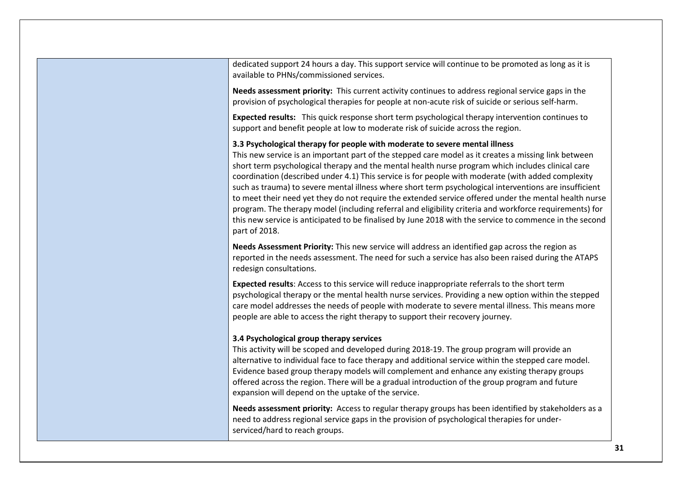dedicated support 24 hours a day. This support service will continue to be promoted as long as it is available to PHNs/commissioned services.

**Needs assessment priority:** This current activity continues to address regional service gaps in the provision of psychological therapies for people at non-acute risk of suicide or serious self-harm.

**Expected results:** This quick response short term psychological therapy intervention continues to support and benefit people at low to moderate risk of suicide across the region.

#### **3.3 Psychological therapy for people with moderate to severe mental illness**

This new service is an important part of the stepped care model as it creates a missing link between short term psychological therapy and the mental health nurse program which includes clinical care coordination (described under 4.1) This service is for people with moderate (with added complexity such as trauma) to severe mental illness where short term psychological interventions are insufficient to meet their need yet they do not require the extended service offered under the mental health nurse program. The therapy model (including referral and eligibility criteria and workforce requirements) for this new service is anticipated to be finalised by June 2018 with the service to commence in the second part of 2018.

**Needs Assessment Priority:** This new service will address an identified gap across the region as reported in the needs assessment. The need for such a service has also been raised during the ATAPS redesign consultations.

**Expected results**: Access to this service will reduce inappropriate referrals to the short term psychological therapy or the mental health nurse services. Providing a new option within the stepped care model addresses the needs of people with moderate to severe mental illness. This means more people are able to access the right therapy to support their recovery journey.

### **3.4 Psychological group therapy services**

This activity will be scoped and developed during 2018-19. The group program will provide an alternative to individual face to face therapy and additional service within the stepped care model. Evidence based group therapy models will complement and enhance any existing therapy groups offered across the region. There will be a gradual introduction of the group program and future expansion will depend on the uptake of the service.

**Needs assessment priority:** Access to regular therapy groups has been identified by stakeholders as a need to address regional service gaps in the provision of psychological therapies for underserviced/hard to reach groups.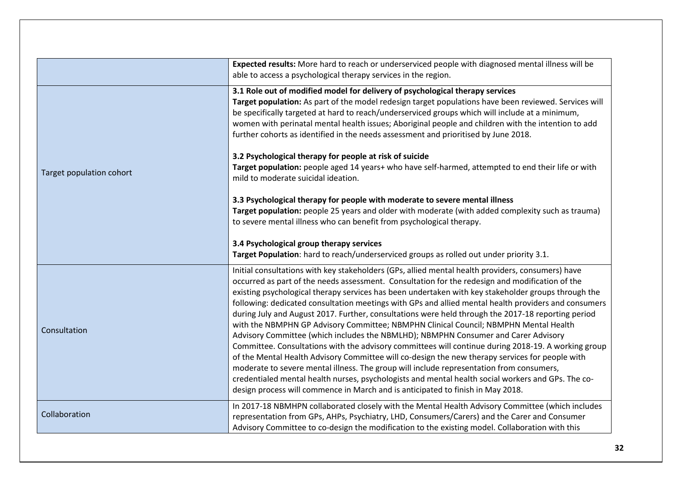|                          | Expected results: More hard to reach or underserviced people with diagnosed mental illness will be<br>able to access a psychological therapy services in the region.                                                                                                                                                                                                                                                                                                                                                                                                                                                                                                                                                                                                                                                                                                                                                                                                                                                                                                                                                                                                                                   |
|--------------------------|--------------------------------------------------------------------------------------------------------------------------------------------------------------------------------------------------------------------------------------------------------------------------------------------------------------------------------------------------------------------------------------------------------------------------------------------------------------------------------------------------------------------------------------------------------------------------------------------------------------------------------------------------------------------------------------------------------------------------------------------------------------------------------------------------------------------------------------------------------------------------------------------------------------------------------------------------------------------------------------------------------------------------------------------------------------------------------------------------------------------------------------------------------------------------------------------------------|
|                          | 3.1 Role out of modified model for delivery of psychological therapy services<br>Target population: As part of the model redesign target populations have been reviewed. Services will<br>be specifically targeted at hard to reach/underserviced groups which will include at a minimum,<br>women with perinatal mental health issues; Aboriginal people and children with the intention to add<br>further cohorts as identified in the needs assessment and prioritised by June 2018.                                                                                                                                                                                                                                                                                                                                                                                                                                                                                                                                                                                                                                                                                                                |
| Target population cohort | 3.2 Psychological therapy for people at risk of suicide<br>Target population: people aged 14 years+ who have self-harmed, attempted to end their life or with<br>mild to moderate suicidal ideation.                                                                                                                                                                                                                                                                                                                                                                                                                                                                                                                                                                                                                                                                                                                                                                                                                                                                                                                                                                                                   |
|                          | 3.3 Psychological therapy for people with moderate to severe mental illness<br>Target population: people 25 years and older with moderate (with added complexity such as trauma)<br>to severe mental illness who can benefit from psychological therapy.                                                                                                                                                                                                                                                                                                                                                                                                                                                                                                                                                                                                                                                                                                                                                                                                                                                                                                                                               |
|                          | 3.4 Psychological group therapy services<br>Target Population: hard to reach/underserviced groups as rolled out under priority 3.1.                                                                                                                                                                                                                                                                                                                                                                                                                                                                                                                                                                                                                                                                                                                                                                                                                                                                                                                                                                                                                                                                    |
| Consultation             | Initial consultations with key stakeholders (GPs, allied mental health providers, consumers) have<br>occurred as part of the needs assessment. Consultation for the redesign and modification of the<br>existing psychological therapy services has been undertaken with key stakeholder groups through the<br>following: dedicated consultation meetings with GPs and allied mental health providers and consumers<br>during July and August 2017. Further, consultations were held through the 2017-18 reporting period<br>with the NBMPHN GP Advisory Committee; NBMPHN Clinical Council; NBMPHN Mental Health<br>Advisory Committee (which includes the NBMLHD); NBMPHN Consumer and Carer Advisory<br>Committee. Consultations with the advisory committees will continue during 2018-19. A working group<br>of the Mental Health Advisory Committee will co-design the new therapy services for people with<br>moderate to severe mental illness. The group will include representation from consumers,<br>credentialed mental health nurses, psychologists and mental health social workers and GPs. The co-<br>design process will commence in March and is anticipated to finish in May 2018. |
| Collaboration            | In 2017-18 NBMHPN collaborated closely with the Mental Health Advisory Committee (which includes<br>representation from GPs, AHPs, Psychiatry, LHD, Consumers/Carers) and the Carer and Consumer<br>Advisory Committee to co-design the modification to the existing model. Collaboration with this                                                                                                                                                                                                                                                                                                                                                                                                                                                                                                                                                                                                                                                                                                                                                                                                                                                                                                    |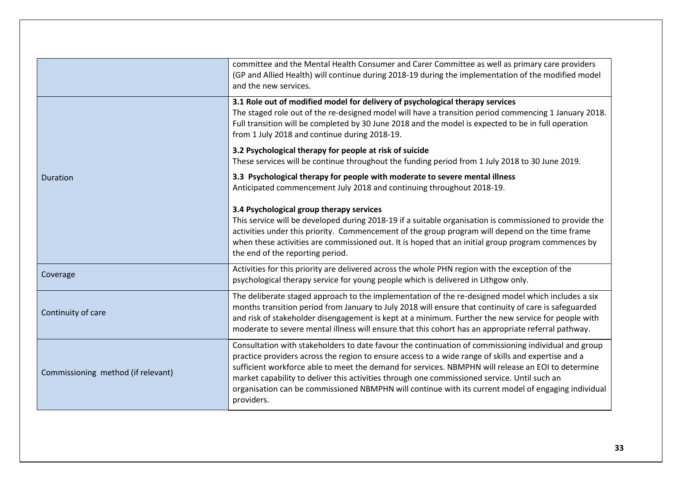|                                    | committee and the Mental Health Consumer and Carer Committee as well as primary care providers<br>(GP and Allied Health) will continue during 2018-19 during the implementation of the modified model<br>and the new services.                                                                                                                                                                                                                                                                                                         |
|------------------------------------|----------------------------------------------------------------------------------------------------------------------------------------------------------------------------------------------------------------------------------------------------------------------------------------------------------------------------------------------------------------------------------------------------------------------------------------------------------------------------------------------------------------------------------------|
|                                    | 3.1 Role out of modified model for delivery of psychological therapy services<br>The staged role out of the re-designed model will have a transition period commencing 1 January 2018.<br>Full transition will be completed by 30 June 2018 and the model is expected to be in full operation<br>from 1 July 2018 and continue during 2018-19.                                                                                                                                                                                         |
|                                    | 3.2 Psychological therapy for people at risk of suicide<br>These services will be continue throughout the funding period from 1 July 2018 to 30 June 2019.                                                                                                                                                                                                                                                                                                                                                                             |
| <b>Duration</b>                    | 3.3 Psychological therapy for people with moderate to severe mental illness<br>Anticipated commencement July 2018 and continuing throughout 2018-19.                                                                                                                                                                                                                                                                                                                                                                                   |
|                                    | 3.4 Psychological group therapy services<br>This service will be developed during 2018-19 if a suitable organisation is commissioned to provide the<br>activities under this priority. Commencement of the group program will depend on the time frame<br>when these activities are commissioned out. It is hoped that an initial group program commences by<br>the end of the reporting period.                                                                                                                                       |
| Coverage                           | Activities for this priority are delivered across the whole PHN region with the exception of the<br>psychological therapy service for young people which is delivered in Lithgow only.                                                                                                                                                                                                                                                                                                                                                 |
| Continuity of care                 | The deliberate staged approach to the implementation of the re-designed model which includes a six<br>months transition period from January to July 2018 will ensure that continuity of care is safeguarded<br>and risk of stakeholder disengagement is kept at a minimum. Further the new service for people with<br>moderate to severe mental illness will ensure that this cohort has an appropriate referral pathway.                                                                                                              |
| Commissioning method (if relevant) | Consultation with stakeholders to date favour the continuation of commissioning individual and group<br>practice providers across the region to ensure access to a wide range of skills and expertise and a<br>sufficient workforce able to meet the demand for services. NBMPHN will release an EOI to determine<br>market capability to deliver this activities through one commissioned service. Until such an<br>organisation can be commissioned NBMPHN will continue with its current model of engaging individual<br>providers. |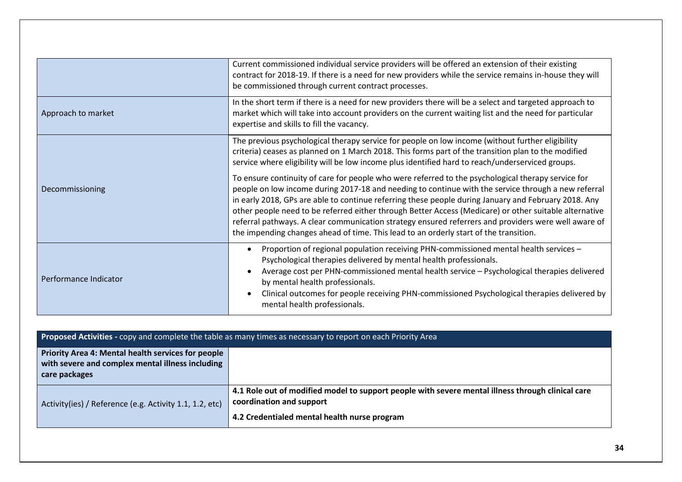|                       | Current commissioned individual service providers will be offered an extension of their existing<br>contract for 2018-19. If there is a need for new providers while the service remains in-house they will<br>be commissioned through current contract processes.                                                                                                                                                                                                                                                                                                                                                           |
|-----------------------|------------------------------------------------------------------------------------------------------------------------------------------------------------------------------------------------------------------------------------------------------------------------------------------------------------------------------------------------------------------------------------------------------------------------------------------------------------------------------------------------------------------------------------------------------------------------------------------------------------------------------|
| Approach to market    | In the short term if there is a need for new providers there will be a select and targeted approach to<br>market which will take into account providers on the current waiting list and the need for particular<br>expertise and skills to fill the vacancy.                                                                                                                                                                                                                                                                                                                                                                 |
|                       | The previous psychological therapy service for people on low income (without further eligibility<br>criteria) ceases as planned on 1 March 2018. This forms part of the transition plan to the modified<br>service where eligibility will be low income plus identified hard to reach/underserviced groups.                                                                                                                                                                                                                                                                                                                  |
| Decommissioning       | To ensure continuity of care for people who were referred to the psychological therapy service for<br>people on low income during 2017-18 and needing to continue with the service through a new referral<br>in early 2018, GPs are able to continue referring these people during January and February 2018. Any<br>other people need to be referred either through Better Access (Medicare) or other suitable alternative<br>referral pathways. A clear communication strategy ensured referrers and providers were well aware of<br>the impending changes ahead of time. This lead to an orderly start of the transition. |
| Performance Indicator | Proportion of regional population receiving PHN-commissioned mental health services -<br>Psychological therapies delivered by mental health professionals.<br>Average cost per PHN-commissioned mental health service - Psychological therapies delivered<br>by mental health professionals.<br>Clinical outcomes for people receiving PHN-commissioned Psychological therapies delivered by<br>mental health professionals.                                                                                                                                                                                                 |

| Proposed Activities - copy and complete the table as many times as necessary to report on each Priority Area |                                                                                                   |
|--------------------------------------------------------------------------------------------------------------|---------------------------------------------------------------------------------------------------|
| Priority Area 4: Mental health services for people                                                           |                                                                                                   |
| with severe and complex mental illness including                                                             |                                                                                                   |
| care packages                                                                                                |                                                                                                   |
|                                                                                                              | 4.1 Role out of modified model to support people with severe mental illness through clinical care |
| Activity(ies) / Reference (e.g. Activity 1.1, 1.2, etc)                                                      | coordination and support                                                                          |
|                                                                                                              | 4.2 Credentialed mental health nurse program                                                      |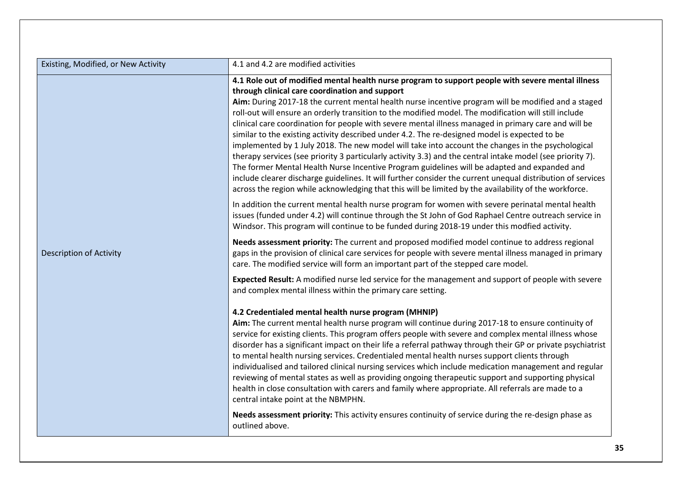| Existing, Modified, or New Activity | 4.1 and 4.2 are modified activities                                                                                                                                                                                                                                                                                                                                                                                                                                                                                                                                                                                                                                                                                                                                                                                                                                                                                                                                                                                                                                                                                     |
|-------------------------------------|-------------------------------------------------------------------------------------------------------------------------------------------------------------------------------------------------------------------------------------------------------------------------------------------------------------------------------------------------------------------------------------------------------------------------------------------------------------------------------------------------------------------------------------------------------------------------------------------------------------------------------------------------------------------------------------------------------------------------------------------------------------------------------------------------------------------------------------------------------------------------------------------------------------------------------------------------------------------------------------------------------------------------------------------------------------------------------------------------------------------------|
|                                     | 4.1 Role out of modified mental health nurse program to support people with severe mental illness<br>through clinical care coordination and support<br>Aim: During 2017-18 the current mental health nurse incentive program will be modified and a staged<br>roll-out will ensure an orderly transition to the modified model. The modification will still include<br>clinical care coordination for people with severe mental illness managed in primary care and will be<br>similar to the existing activity described under 4.2. The re-designed model is expected to be<br>implemented by 1 July 2018. The new model will take into account the changes in the psychological<br>therapy services (see priority 3 particularly activity 3.3) and the central intake model (see priority 7).<br>The former Mental Health Nurse Incentive Program guidelines will be adapted and expanded and<br>include clearer discharge guidelines. It will further consider the current unequal distribution of services<br>across the region while acknowledging that this will be limited by the availability of the workforce. |
|                                     | In addition the current mental health nurse program for women with severe perinatal mental health<br>issues (funded under 4.2) will continue through the St John of God Raphael Centre outreach service in<br>Windsor. This program will continue to be funded during 2018-19 under this modfied activity.                                                                                                                                                                                                                                                                                                                                                                                                                                                                                                                                                                                                                                                                                                                                                                                                              |
| <b>Description of Activity</b>      | Needs assessment priority: The current and proposed modified model continue to address regional<br>gaps in the provision of clinical care services for people with severe mental illness managed in primary<br>care. The modified service will form an important part of the stepped care model.                                                                                                                                                                                                                                                                                                                                                                                                                                                                                                                                                                                                                                                                                                                                                                                                                        |
|                                     | <b>Expected Result:</b> A modified nurse led service for the management and support of people with severe<br>and complex mental illness within the primary care setting.                                                                                                                                                                                                                                                                                                                                                                                                                                                                                                                                                                                                                                                                                                                                                                                                                                                                                                                                                |
|                                     | 4.2 Credentialed mental health nurse program (MHNIP)<br>Aim: The current mental health nurse program will continue during 2017-18 to ensure continuity of<br>service for existing clients. This program offers people with severe and complex mental illness whose<br>disorder has a significant impact on their life a referral pathway through their GP or private psychiatrist<br>to mental health nursing services. Credentialed mental health nurses support clients through<br>individualised and tailored clinical nursing services which include medication management and regular<br>reviewing of mental states as well as providing ongoing therapeutic support and supporting physical<br>health in close consultation with carers and family where appropriate. All referrals are made to a<br>central intake point at the NBMPHN.                                                                                                                                                                                                                                                                          |
|                                     | Needs assessment priority: This activity ensures continuity of service during the re-design phase as<br>outlined above.                                                                                                                                                                                                                                                                                                                                                                                                                                                                                                                                                                                                                                                                                                                                                                                                                                                                                                                                                                                                 |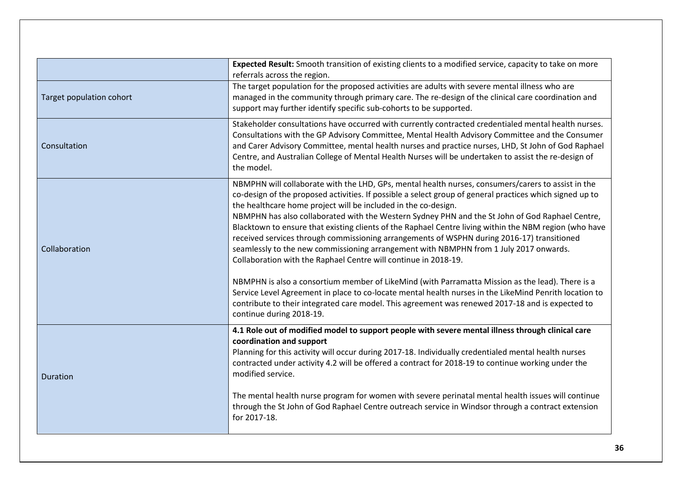|                          | Expected Result: Smooth transition of existing clients to a modified service, capacity to take on more<br>referrals across the region.                                                                                                                                                                                                                                                                                                                                                                                                                                                                                                                                                                                                                                                                                                                                                                                                                                                                                                                                                                |
|--------------------------|-------------------------------------------------------------------------------------------------------------------------------------------------------------------------------------------------------------------------------------------------------------------------------------------------------------------------------------------------------------------------------------------------------------------------------------------------------------------------------------------------------------------------------------------------------------------------------------------------------------------------------------------------------------------------------------------------------------------------------------------------------------------------------------------------------------------------------------------------------------------------------------------------------------------------------------------------------------------------------------------------------------------------------------------------------------------------------------------------------|
| Target population cohort | The target population for the proposed activities are adults with severe mental illness who are<br>managed in the community through primary care. The re-design of the clinical care coordination and<br>support may further identify specific sub-cohorts to be supported.                                                                                                                                                                                                                                                                                                                                                                                                                                                                                                                                                                                                                                                                                                                                                                                                                           |
| Consultation             | Stakeholder consultations have occurred with currently contracted credentialed mental health nurses.<br>Consultations with the GP Advisory Committee, Mental Health Advisory Committee and the Consumer<br>and Carer Advisory Committee, mental health nurses and practice nurses, LHD, St John of God Raphael<br>Centre, and Australian College of Mental Health Nurses will be undertaken to assist the re-design of<br>the model.                                                                                                                                                                                                                                                                                                                                                                                                                                                                                                                                                                                                                                                                  |
| Collaboration            | NBMPHN will collaborate with the LHD, GPs, mental health nurses, consumers/carers to assist in the<br>co-design of the proposed activities. If possible a select group of general practices which signed up to<br>the healthcare home project will be included in the co-design.<br>NBMPHN has also collaborated with the Western Sydney PHN and the St John of God Raphael Centre,<br>Blacktown to ensure that existing clients of the Raphael Centre living within the NBM region (who have<br>received services through commissioning arrangements of WSPHN during 2016-17) transitioned<br>seamlessly to the new commissioning arrangement with NBMPHN from 1 July 2017 onwards.<br>Collaboration with the Raphael Centre will continue in 2018-19.<br>NBMPHN is also a consortium member of LikeMind (with Parramatta Mission as the lead). There is a<br>Service Level Agreement in place to co-locate mental health nurses in the LikeMind Penrith location to<br>contribute to their integrated care model. This agreement was renewed 2017-18 and is expected to<br>continue during 2018-19. |
| Duration                 | 4.1 Role out of modified model to support people with severe mental illness through clinical care<br>coordination and support<br>Planning for this activity will occur during 2017-18. Individually credentialed mental health nurses<br>contracted under activity 4.2 will be offered a contract for 2018-19 to continue working under the<br>modified service.<br>The mental health nurse program for women with severe perinatal mental health issues will continue<br>through the St John of God Raphael Centre outreach service in Windsor through a contract extension<br>for 2017-18.                                                                                                                                                                                                                                                                                                                                                                                                                                                                                                          |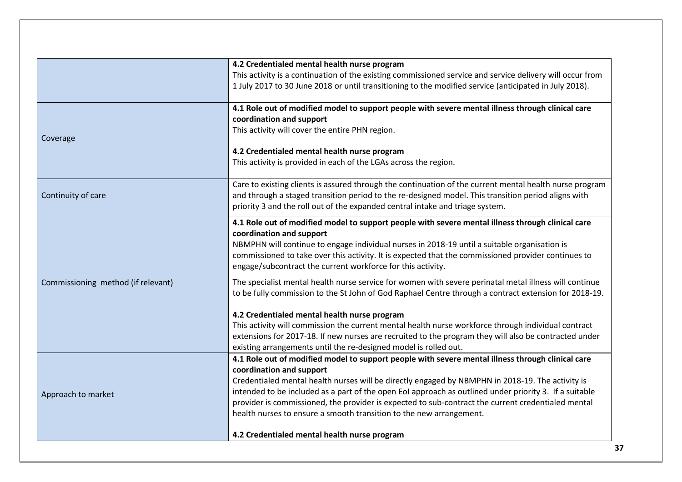| This activity is a continuation of the existing commissioned service and service delivery will occur from<br>1 July 2017 to 30 June 2018 or until transitioning to the modified service (anticipated in July 2018).<br>4.1 Role out of modified model to support people with severe mental illness through clinical care<br>coordination and support<br>This activity will cover the entire PHN region.<br>4.2 Credentialed mental health nurse program<br>This activity is provided in each of the LGAs across the region.<br>Care to existing clients is assured through the continuation of the current mental health nurse program<br>and through a staged transition period to the re-designed model. This transition period aligns with<br>priority 3 and the roll out of the expanded central intake and triage system.<br>4.1 Role out of modified model to support people with severe mental illness through clinical care<br>coordination and support<br>NBMPHN will continue to engage individual nurses in 2018-19 until a suitable organisation is<br>commissioned to take over this activity. It is expected that the commissioned provider continues to<br>engage/subcontract the current workforce for this activity.<br>The specialist mental health nurse service for women with severe perinatal metal illness will continue<br>to be fully commission to the St John of God Raphael Centre through a contract extension for 2018-19.<br>4.2 Credentialed mental health nurse program<br>This activity will commission the current mental health nurse workforce through individual contract<br>extensions for 2017-18. If new nurses are recruited to the program they will also be contracted under<br>existing arrangements until the re-designed model is rolled out.<br>4.1 Role out of modified model to support people with severe mental illness through clinical care<br>coordination and support<br>Credentialed mental health nurses will be directly engaged by NBMPHN in 2018-19. The activity is<br>intended to be included as a part of the open EoI approach as outlined under priority 3. If a suitable<br>provider is commissioned, the provider is expected to sub-contract the current credentialed mental<br>health nurses to ensure a smooth transition to the new arrangement.<br>4.2 Credentialed mental health nurse program |                                    | 4.2 Credentialed mental health nurse program |
|--------------------------------------------------------------------------------------------------------------------------------------------------------------------------------------------------------------------------------------------------------------------------------------------------------------------------------------------------------------------------------------------------------------------------------------------------------------------------------------------------------------------------------------------------------------------------------------------------------------------------------------------------------------------------------------------------------------------------------------------------------------------------------------------------------------------------------------------------------------------------------------------------------------------------------------------------------------------------------------------------------------------------------------------------------------------------------------------------------------------------------------------------------------------------------------------------------------------------------------------------------------------------------------------------------------------------------------------------------------------------------------------------------------------------------------------------------------------------------------------------------------------------------------------------------------------------------------------------------------------------------------------------------------------------------------------------------------------------------------------------------------------------------------------------------------------------------------------------------------------------------------------------------------------------------------------------------------------------------------------------------------------------------------------------------------------------------------------------------------------------------------------------------------------------------------------------------------------------------------------------------------------------------------------------------------------------------------------------------------------------|------------------------------------|----------------------------------------------|
|                                                                                                                                                                                                                                                                                                                                                                                                                                                                                                                                                                                                                                                                                                                                                                                                                                                                                                                                                                                                                                                                                                                                                                                                                                                                                                                                                                                                                                                                                                                                                                                                                                                                                                                                                                                                                                                                                                                                                                                                                                                                                                                                                                                                                                                                                                                                                                          |                                    |                                              |
|                                                                                                                                                                                                                                                                                                                                                                                                                                                                                                                                                                                                                                                                                                                                                                                                                                                                                                                                                                                                                                                                                                                                                                                                                                                                                                                                                                                                                                                                                                                                                                                                                                                                                                                                                                                                                                                                                                                                                                                                                                                                                                                                                                                                                                                                                                                                                                          |                                    |                                              |
|                                                                                                                                                                                                                                                                                                                                                                                                                                                                                                                                                                                                                                                                                                                                                                                                                                                                                                                                                                                                                                                                                                                                                                                                                                                                                                                                                                                                                                                                                                                                                                                                                                                                                                                                                                                                                                                                                                                                                                                                                                                                                                                                                                                                                                                                                                                                                                          | Coverage                           |                                              |
|                                                                                                                                                                                                                                                                                                                                                                                                                                                                                                                                                                                                                                                                                                                                                                                                                                                                                                                                                                                                                                                                                                                                                                                                                                                                                                                                                                                                                                                                                                                                                                                                                                                                                                                                                                                                                                                                                                                                                                                                                                                                                                                                                                                                                                                                                                                                                                          |                                    |                                              |
|                                                                                                                                                                                                                                                                                                                                                                                                                                                                                                                                                                                                                                                                                                                                                                                                                                                                                                                                                                                                                                                                                                                                                                                                                                                                                                                                                                                                                                                                                                                                                                                                                                                                                                                                                                                                                                                                                                                                                                                                                                                                                                                                                                                                                                                                                                                                                                          |                                    |                                              |
|                                                                                                                                                                                                                                                                                                                                                                                                                                                                                                                                                                                                                                                                                                                                                                                                                                                                                                                                                                                                                                                                                                                                                                                                                                                                                                                                                                                                                                                                                                                                                                                                                                                                                                                                                                                                                                                                                                                                                                                                                                                                                                                                                                                                                                                                                                                                                                          | Continuity of care                 |                                              |
|                                                                                                                                                                                                                                                                                                                                                                                                                                                                                                                                                                                                                                                                                                                                                                                                                                                                                                                                                                                                                                                                                                                                                                                                                                                                                                                                                                                                                                                                                                                                                                                                                                                                                                                                                                                                                                                                                                                                                                                                                                                                                                                                                                                                                                                                                                                                                                          |                                    |                                              |
|                                                                                                                                                                                                                                                                                                                                                                                                                                                                                                                                                                                                                                                                                                                                                                                                                                                                                                                                                                                                                                                                                                                                                                                                                                                                                                                                                                                                                                                                                                                                                                                                                                                                                                                                                                                                                                                                                                                                                                                                                                                                                                                                                                                                                                                                                                                                                                          | Commissioning method (if relevant) |                                              |
|                                                                                                                                                                                                                                                                                                                                                                                                                                                                                                                                                                                                                                                                                                                                                                                                                                                                                                                                                                                                                                                                                                                                                                                                                                                                                                                                                                                                                                                                                                                                                                                                                                                                                                                                                                                                                                                                                                                                                                                                                                                                                                                                                                                                                                                                                                                                                                          |                                    |                                              |
|                                                                                                                                                                                                                                                                                                                                                                                                                                                                                                                                                                                                                                                                                                                                                                                                                                                                                                                                                                                                                                                                                                                                                                                                                                                                                                                                                                                                                                                                                                                                                                                                                                                                                                                                                                                                                                                                                                                                                                                                                                                                                                                                                                                                                                                                                                                                                                          | Approach to market                 |                                              |
|                                                                                                                                                                                                                                                                                                                                                                                                                                                                                                                                                                                                                                                                                                                                                                                                                                                                                                                                                                                                                                                                                                                                                                                                                                                                                                                                                                                                                                                                                                                                                                                                                                                                                                                                                                                                                                                                                                                                                                                                                                                                                                                                                                                                                                                                                                                                                                          |                                    |                                              |